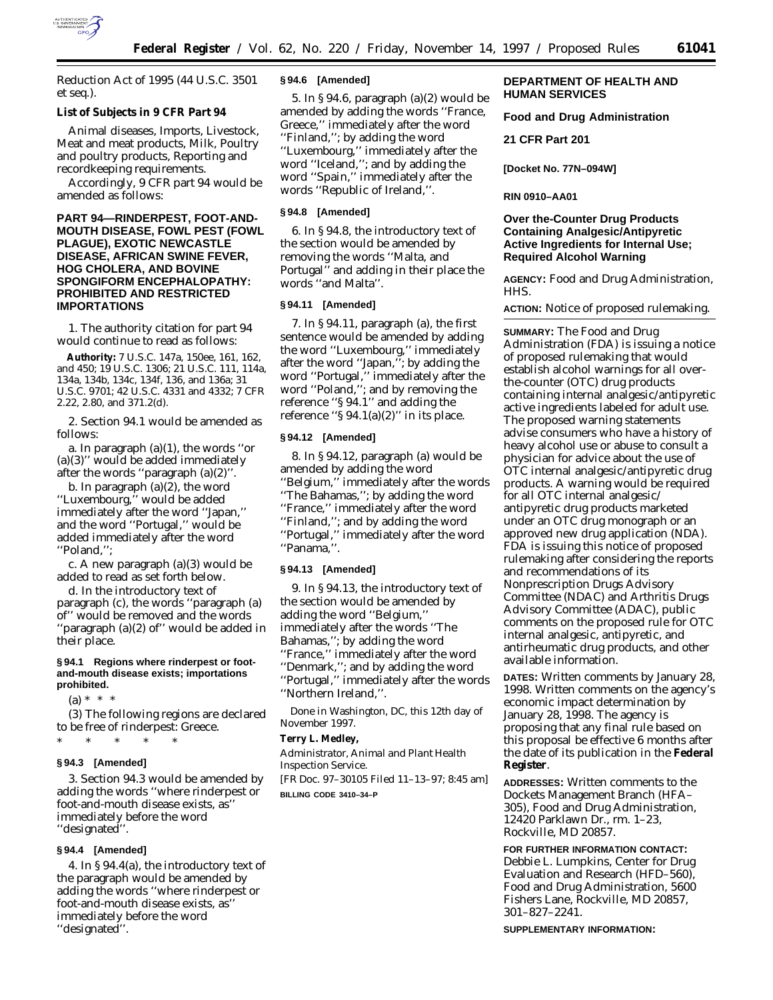

### **List of Subjects in 9 CFR Part 94**

Animal diseases, Imports, Livestock, Meat and meat products, Milk, Poultry and poultry products, Reporting and recordkeeping requirements.

Accordingly, 9 CFR part 94 would be amended as follows:

# **PART 94—RINDERPEST, FOOT-AND-MOUTH DISEASE, FOWL PEST (FOWL PLAGUE), EXOTIC NEWCASTLE DISEASE, AFRICAN SWINE FEVER, HOG CHOLERA, AND BOVINE SPONGIFORM ENCEPHALOPATHY: PROHIBITED AND RESTRICTED IMPORTATIONS**

1. The authority citation for part 94 would continue to read as follows:

**Authority:** 7 U.S.C. 147a, 150ee, 161, 162, and 450; 19 U.S.C. 1306; 21 U.S.C. 111, 114a, 134a, 134b, 134c, 134f, 136, and 136a; 31 U.S.C. 9701; 42 U.S.C. 4331 and 4332; 7 CFR 2.22, 2.80, and 371.2(d).

2. Section 94.1 would be amended as follows:

a. In paragraph  $(a)(1)$ , the words "or (a)(3)'' would be added immediately after the words "paragraph  $(a)(2)$ ".

b. In paragraph (a)(2), the word ''Luxembourg,'' would be added immediately after the word ''Japan,'' and the word ''Portugal,'' would be added immediately after the word ''Poland,'';

c. A new paragraph (a)(3) would be added to read as set forth below.

d. In the introductory text of paragraph (c), the words ''paragraph (a) of'' would be removed and the words ''paragraph (a)(2) of'' would be added in their place.

### **§ 94.1 Regions where rinderpest or footand-mouth disease exists; importations prohibited.**

 $(a) * * * *$ 

(3) The following regions are declared to be free of rinderpest: Greece. \* \* \* \* \*

# **§ 94.3 [Amended]**

3. Section 94.3 would be amended by adding the words ''where rinderpest or foot-and-mouth disease exists, as'' immediately before the word ''designated''.

## **§ 94.4 [Amended]**

4. In § 94.4(a), the introductory text of the paragraph would be amended by adding the words ''where rinderpest or foot-and-mouth disease exists, as'' immediately before the word ''designated''.

#### **§ 94.6 [Amended]**

5. In § 94.6, paragraph (a)(2) would be amended by adding the words ''France, Greece,'' immediately after the word ''Finland,''; by adding the word ''Luxembourg,'' immediately after the word ''Iceland,''; and by adding the word ''Spain,'' immediately after the words ''Republic of Ireland,''.

### **§ 94.8 [Amended]**

6. In § 94.8, the introductory text of the section would be amended by removing the words ''Malta, and Portugal'' and adding in their place the words ''and Malta''.

# **§ 94.11 [Amended]**

7. In § 94.11, paragraph (a), the first sentence would be amended by adding the word ''Luxembourg,'' immediately after the word ''Japan,''; by adding the word ''Portugal,'' immediately after the word ''Poland,''; and by removing the reference ''§ 94.1'' and adding the reference " $\S 94.1(a)(2)$ " in its place.

## **§ 94.12 [Amended]**

8. In § 94.12, paragraph (a) would be amended by adding the word ''Belgium,'' immediately after the words ''The Bahamas,''; by adding the word ''France,'' immediately after the word ''Finland,''; and by adding the word ''Portugal,'' immediately after the word ''Panama,''.

## **§ 94.13 [Amended]**

9. In § 94.13, the introductory text of the section would be amended by adding the word ''Belgium,'' immediately after the words ''The Bahamas,''; by adding the word ''France,'' immediately after the word ''Denmark,''; and by adding the word ''Portugal,'' immediately after the words ''Northern Ireland,''.

Done in Washington, DC, this 12th day of November 1997.

#### **Terry L. Medley,**

*Administrator, Animal and Plant Health Inspection Service.*

[FR Doc. 97–30105 Filed 11–13–97; 8:45 am] **BILLING CODE 3410–34–P**

# **DEPARTMENT OF HEALTH AND HUMAN SERVICES**

**Food and Drug Administration**

### **21 CFR Part 201**

**[Docket No. 77N–094W]**

### **RIN 0910–AA01**

# **Over the-Counter Drug Products Containing Analgesic/Antipyretic Active Ingredients for Internal Use; Required Alcohol Warning**

**AGENCY:** Food and Drug Administration, HHS.

**ACTION:** Notice of proposed rulemaking.

**SUMMARY:** The Food and Drug Administration (FDA) is issuing a notice of proposed rulemaking that would establish alcohol warnings for all overthe-counter (OTC) drug products containing internal analgesic/antipyretic active ingredients labeled for adult use. The proposed warning statements advise consumers who have a history of heavy alcohol use or abuse to consult a physician for advice about the use of OTC internal analgesic/antipyretic drug products. A warning would be required for all OTC internal analgesic/ antipyretic drug products marketed under an OTC drug monograph or an approved new drug application (NDA). FDA is issuing this notice of proposed rulemaking after considering the reports and recommendations of its Nonprescription Drugs Advisory Committee (NDAC) and Arthritis Drugs Advisory Committee (ADAC), public comments on the proposed rule for OTC internal analgesic, antipyretic, and antirheumatic drug products, and other available information.

**DATES:** Written comments by January 28, 1998. Written comments on the agency's economic impact determination by January 28, 1998. The agency is proposing that any final rule based on this proposal be effective 6 months after the date of its publication in the **Federal Register**.

**ADDRESSES:** Written comments to the Dockets Management Branch (HFA– 305), Food and Drug Administration, 12420 Parklawn Dr., rm. 1–23, Rockville, MD 20857.

**FOR FURTHER INFORMATION CONTACT:** Debbie L. Lumpkins, Center for Drug Evaluation and Research (HFD–560), Food and Drug Administration, 5600 Fishers Lane, Rockville, MD 20857, 301–827–2241.

**SUPPLEMENTARY INFORMATION:**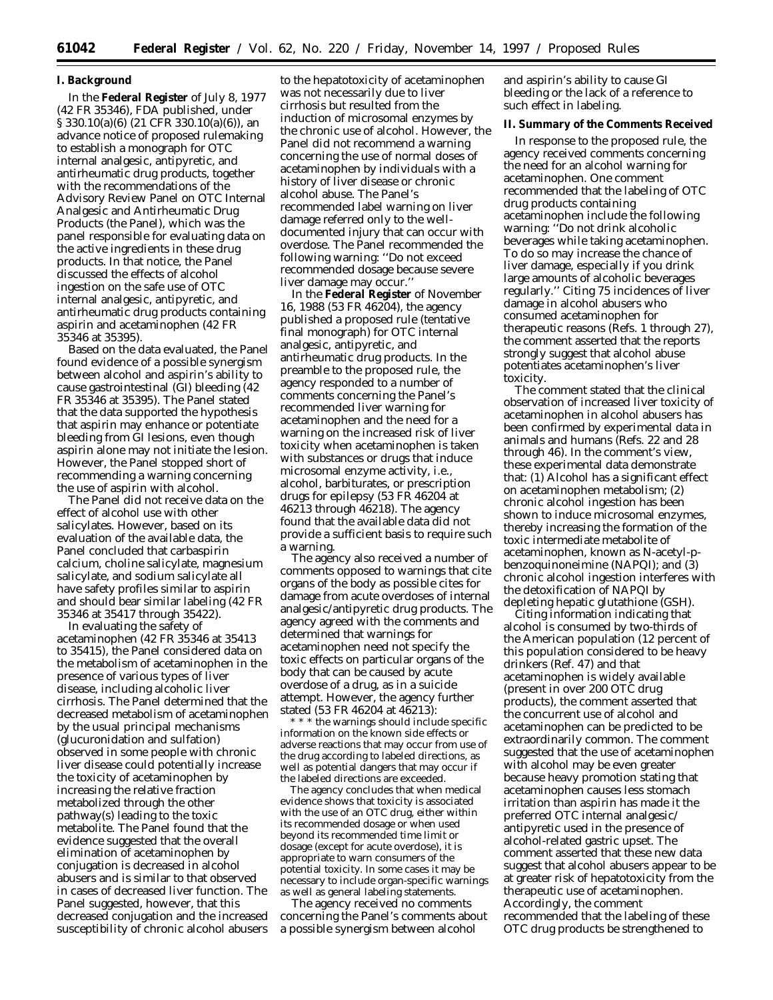### **I. Background**

In the **Federal Register** of July 8, 1977 (42 FR 35346), FDA published, under § 330.10(a)(6) (21 CFR 330.10(a)(6)), an advance notice of proposed rulemaking to establish a monograph for OTC internal analgesic, antipyretic, and antirheumatic drug products, together with the recommendations of the Advisory Review Panel on OTC Internal Analgesic and Antirheumatic Drug Products (the Panel), which was the panel responsible for evaluating data on the active ingredients in these drug products. In that notice, the Panel discussed the effects of alcohol ingestion on the safe use of OTC internal analgesic, antipyretic, and antirheumatic drug products containing aspirin and acetaminophen (42 FR 35346 at 35395).

Based on the data evaluated, the Panel found evidence of a possible synergism between alcohol and aspirin's ability to cause gastrointestinal (GI) bleeding (42 FR 35346 at 35395). The Panel stated that the data supported the hypothesis that aspirin may enhance or potentiate bleeding from GI lesions, even though aspirin alone may not initiate the lesion. However, the Panel stopped short of recommending a warning concerning the use of aspirin with alcohol.

The Panel did not receive data on the effect of alcohol use with other salicylates. However, based on its evaluation of the available data, the Panel concluded that carbaspirin calcium, choline salicylate, magnesium salicylate, and sodium salicylate all have safety profiles similar to aspirin and should bear similar labeling (42 FR 35346 at 35417 through 35422).

In evaluating the safety of acetaminophen (42 FR 35346 at 35413 to 35415), the Panel considered data on the metabolism of acetaminophen in the presence of various types of liver disease, including alcoholic liver cirrhosis. The Panel determined that the decreased metabolism of acetaminophen by the usual principal mechanisms (glucuronidation and sulfation) observed in some people with chronic liver disease could potentially increase the toxicity of acetaminophen by increasing the relative fraction metabolized through the other pathway(s) leading to the toxic metabolite. The Panel found that the evidence suggested that the overall elimination of acetaminophen by conjugation is decreased in alcohol abusers and is similar to that observed in cases of decreased liver function. The Panel suggested, however, that this decreased conjugation and the increased susceptibility of chronic alcohol abusers

to the hepatotoxicity of acetaminophen was not necessarily due to liver cirrhosis but resulted from the induction of microsomal enzymes by the chronic use of alcohol. However, the Panel did not recommend a warning concerning the use of normal doses of acetaminophen by individuals with a history of liver disease or chronic alcohol abuse. The Panel's recommended label warning on liver damage referred only to the welldocumented injury that can occur with overdose. The Panel recommended the following warning: ''Do not exceed recommended dosage because severe liver damage may occur.''

In the **Federal Register** of November 16, 1988 (53 FR 46204), the agency published a proposed rule (tentative final monograph) for OTC internal analgesic, antipyretic, and antirheumatic drug products. In the preamble to the proposed rule, the agency responded to a number of comments concerning the Panel's recommended liver warning for acetaminophen and the need for a warning on the increased risk of liver toxicity when acetaminophen is taken with substances or drugs that induce microsomal enzyme activity, i.e., alcohol, barbiturates, or prescription drugs for epilepsy (53 FR 46204 at 46213 through 46218). The agency found that the available data did not provide a sufficient basis to require such a warning.

The agency also received a number of comments opposed to warnings that cite organs of the body as possible cites for damage from acute overdoses of internal analgesic/antipyretic drug products. The agency agreed with the comments and determined that warnings for acetaminophen need not specify the toxic effects on particular organs of the body that can be caused by acute overdose of a drug, as in a suicide attempt. However, the agency further stated (53 FR 46204 at 46213):

\* \* \* the warnings should include specific information on the known side effects or adverse reactions that may occur from use of the drug according to labeled directions, as well as potential dangers that may occur if the labeled directions are exceeded.

The agency concludes that when medical evidence shows that toxicity is associated with the use of an OTC drug, either within its recommended dosage or when used beyond its recommended time limit or dosage (except for acute overdose), it is appropriate to warn consumers of the potential toxicity. In some cases it may be necessary to include organ-specific warnings as well as general labeling statements.

The agency received no comments concerning the Panel's comments about a possible synergism between alcohol

and aspirin's ability to cause GI bleeding or the lack of a reference to such effect in labeling.

# **II. Summary of the Comments Received**

In response to the proposed rule, the agency received comments concerning the need for an alcohol warning for acetaminophen. One comment recommended that the labeling of OTC drug products containing acetaminophen include the following warning: ''Do not drink alcoholic beverages while taking acetaminophen. To do so may increase the chance of liver damage, especially if you drink large amounts of alcoholic beverages regularly.'' Citing 75 incidences of liver damage in alcohol abusers who consumed acetaminophen for therapeutic reasons (Refs. 1 through 27), the comment asserted that the reports strongly suggest that alcohol abuse potentiates acetaminophen's liver toxicity.

The comment stated that the clinical observation of increased liver toxicity of acetaminophen in alcohol abusers has been confirmed by experimental data in animals and humans (Refs. 22 and 28 through 46). In the comment's view, these experimental data demonstrate that: (1) Alcohol has a significant effect on acetaminophen metabolism; (2) chronic alcohol ingestion has been shown to induce microsomal enzymes, thereby increasing the formation of the toxic intermediate metabolite of acetaminophen, known as *N*-acetyl-*p*benzoquinoneimine (NAPQI); and (3) chronic alcohol ingestion interferes with the detoxification of NAPQI by depleting hepatic glutathione (GSH).

Citing information indicating that alcohol is consumed by two-thirds of the American population (12 percent of this population considered to be heavy drinkers (Ref. 47) and that acetaminophen is widely available (present in over 200 OTC drug products), the comment asserted that the concurrent use of alcohol and acetaminophen can be predicted to be extraordinarily common. The comment suggested that the use of acetaminophen with alcohol may be even greater because heavy promotion stating that acetaminophen causes less stomach irritation than aspirin has made it the preferred OTC internal analgesic/ antipyretic used in the presence of alcohol-related gastric upset. The comment asserted that these new data suggest that alcohol abusers appear to be at greater risk of hepatotoxicity from the therapeutic use of acetaminophen. Accordingly, the comment recommended that the labeling of these OTC drug products be strengthened to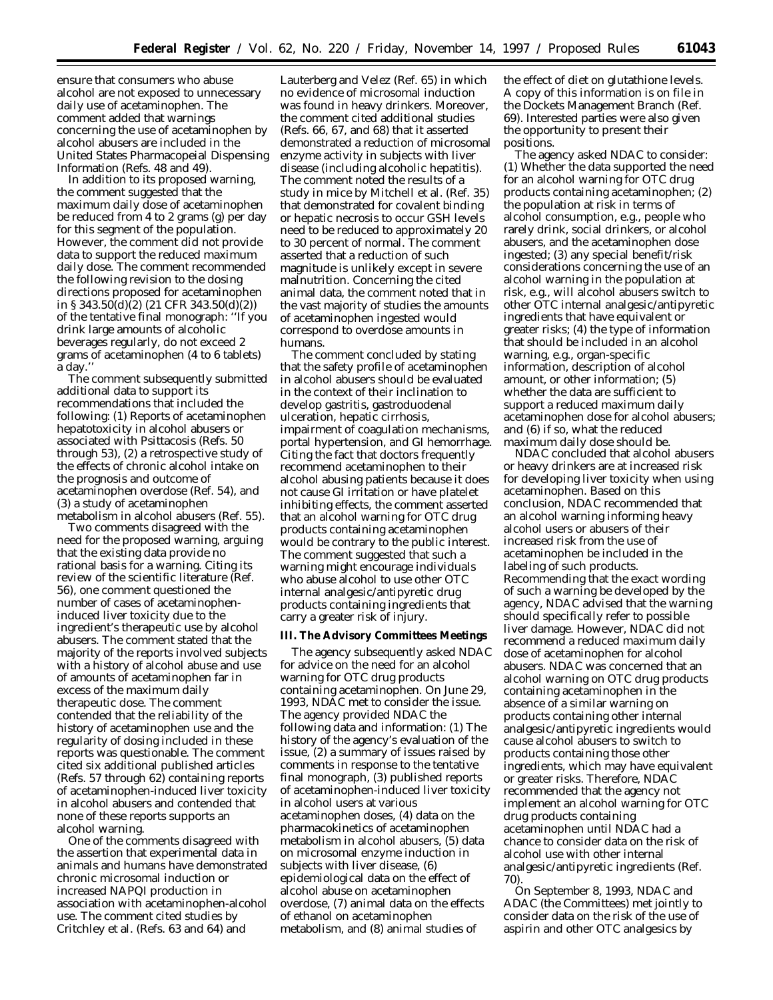ensure that consumers who abuse alcohol are not exposed to unnecessary daily use of acetaminophen. The comment added that warnings concerning the use of acetaminophen by alcohol abusers are included in the United States Pharmacopeial Dispensing Information (Refs. 48 and 49).

In addition to its proposed warning, the comment suggested that the maximum daily dose of acetaminophen be reduced from 4 to 2 grams (g) per day for this segment of the population. However, the comment did not provide data to support the reduced maximum daily dose. The comment recommended the following revision to the dosing directions proposed for acetaminophen in § 343.50(d)(2) (21 CFR 343.50(d)(2)) of the tentative final monograph: ''If you drink large amounts of alcoholic beverages regularly, do not exceed 2 grams of acetaminophen (4 to 6 tablets) a day.''

The comment subsequently submitted additional data to support its recommendations that included the following: (1) Reports of acetaminophen hepatotoxicity in alcohol abusers or associated with Psittacosis (Refs. 50 through 53), (2) a retrospective study of the effects of chronic alcohol intake on the prognosis and outcome of acetaminophen overdose (Ref. 54), and (3) a study of acetaminophen metabolism in alcohol abusers (Ref. 55).

Two comments disagreed with the need for the proposed warning, arguing that the existing data provide no rational basis for a warning. Citing its review of the scientific literature (Ref. 56), one comment questioned the number of cases of acetaminopheninduced liver toxicity due to the ingredient's therapeutic use by alcohol abusers. The comment stated that the majority of the reports involved subjects with a history of alcohol abuse and use of amounts of acetaminophen far in excess of the maximum daily therapeutic dose. The comment contended that the reliability of the history of acetaminophen use and the regularity of dosing included in these reports was questionable. The comment cited six additional published articles (Refs. 57 through 62) containing reports of acetaminophen-induced liver toxicity in alcohol abusers and contended that none of these reports supports an alcohol warning.

One of the comments disagreed with the assertion that experimental data in animals and humans have demonstrated chronic microsomal induction or increased NAPQI production in association with acetaminophen-alcohol use. The comment cited studies by Critchley et al. (Refs. 63 and 64) and

Lauterberg and Velez (Ref. 65) in which no evidence of microsomal induction was found in heavy drinkers. Moreover, the comment cited additional studies (Refs. 66, 67, and 68) that it asserted demonstrated a reduction of microsomal enzyme activity in subjects with liver disease (including alcoholic hepatitis). The comment noted the results of a study in mice by Mitchell et al. (Ref. 35) that demonstrated for covalent binding or hepatic necrosis to occur GSH levels need to be reduced to approximately 20 to 30 percent of normal. The comment asserted that a reduction of such magnitude is unlikely except in severe malnutrition. Concerning the cited animal data, the comment noted that in the vast majority of studies the amounts of acetaminophen ingested would correspond to overdose amounts in humans.

The comment concluded by stating that the safety profile of acetaminophen in alcohol abusers should be evaluated in the context of their inclination to develop gastritis, gastroduodenal ulceration, hepatic cirrhosis, impairment of coagulation mechanisms, portal hypertension, and GI hemorrhage. Citing the fact that doctors frequently recommend acetaminophen to their alcohol abusing patients because it does not cause GI irritation or have platelet inhibiting effects, the comment asserted that an alcohol warning for OTC drug products containing acetaminophen would be contrary to the public interest. The comment suggested that such a warning might encourage individuals who abuse alcohol to use other OTC internal analgesic/antipyretic drug products containing ingredients that carry a greater risk of injury.

# **III. The Advisory Committees Meetings**

The agency subsequently asked NDAC for advice on the need for an alcohol warning for OTC drug products containing acetaminophen. On June 29, 1993, NDAC met to consider the issue. The agency provided NDAC the following data and information: (1) The history of the agency's evaluation of the issue, (2) a summary of issues raised by comments in response to the tentative final monograph, (3) published reports of acetaminophen-induced liver toxicity in alcohol users at various acetaminophen doses, (4) data on the pharmacokinetics of acetaminophen metabolism in alcohol abusers, (5) data on microsomal enzyme induction in subjects with liver disease, (6) epidemiological data on the effect of alcohol abuse on acetaminophen overdose, (7) animal data on the effects of ethanol on acetaminophen metabolism, and (8) animal studies of

the effect of diet on glutathione levels. A copy of this information is on file in the Dockets Management Branch (Ref. 69). Interested parties were also given the opportunity to present their positions.

The agency asked NDAC to consider: (1) Whether the data supported the need for an alcohol warning for OTC drug products containing acetaminophen; (2) the population at risk in terms of alcohol consumption, e.g., people who rarely drink, social drinkers, or alcohol abusers, and the acetaminophen dose ingested; (3) any special benefit/risk considerations concerning the use of an alcohol warning in the population at risk, e.g., will alcohol abusers switch to other OTC internal analgesic/antipyretic ingredients that have equivalent or greater risks; (4) the type of information that should be included in an alcohol warning, e.g., organ-specific information, description of alcohol amount, or other information; (5) whether the data are sufficient to support a reduced maximum daily acetaminophen dose for alcohol abusers; and (6) if so, what the reduced maximum daily dose should be.

NDAC concluded that alcohol abusers or heavy drinkers are at increased risk for developing liver toxicity when using acetaminophen. Based on this conclusion, NDAC recommended that an alcohol warning informing heavy alcohol users or abusers of their increased risk from the use of acetaminophen be included in the labeling of such products. Recommending that the exact wording of such a warning be developed by the agency, NDAC advised that the warning should specifically refer to possible liver damage. However, NDAC did not recommend a reduced maximum daily dose of acetaminophen for alcohol abusers. NDAC was concerned that an alcohol warning on OTC drug products containing acetaminophen in the absence of a similar warning on products containing other internal analgesic/antipyretic ingredients would cause alcohol abusers to switch to products containing those other ingredients, which may have equivalent or greater risks. Therefore, NDAC recommended that the agency not implement an alcohol warning for OTC drug products containing acetaminophen until NDAC had a chance to consider data on the risk of alcohol use with other internal analgesic/antipyretic ingredients (Ref. 70).

On September 8, 1993, NDAC and ADAC (the Committees) met jointly to consider data on the risk of the use of aspirin and other OTC analgesics by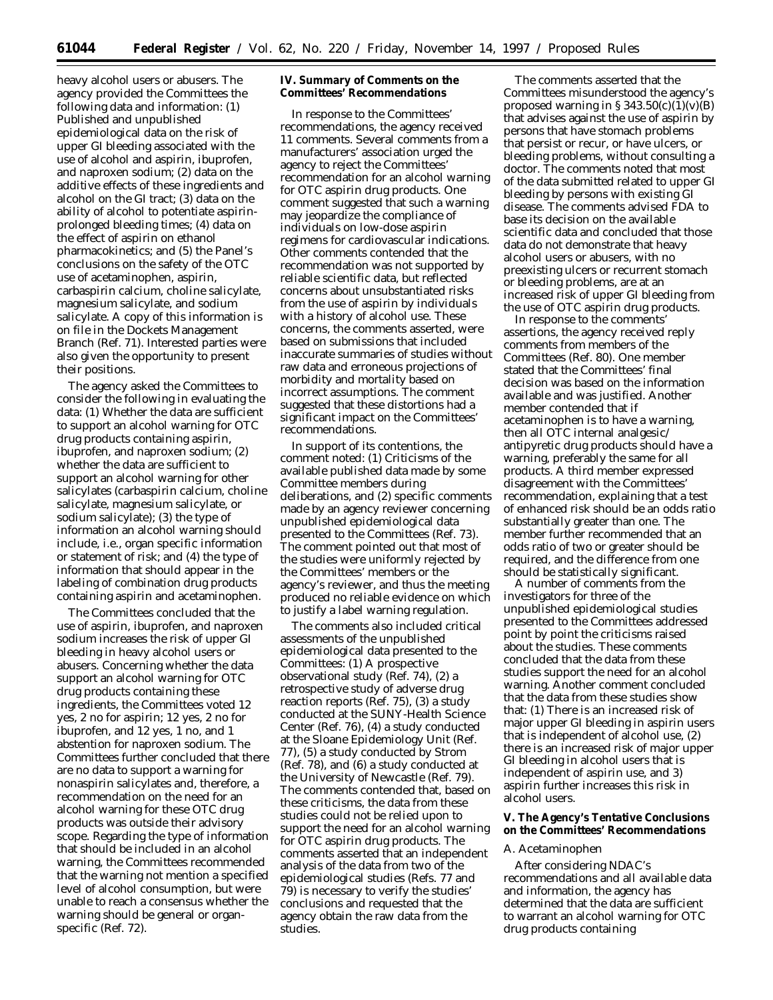heavy alcohol users or abusers. The agency provided the Committees the following data and information: (1) Published and unpublished epidemiological data on the risk of upper GI bleeding associated with the use of alcohol and aspirin, ibuprofen, and naproxen sodium; (2) data on the additive effects of these ingredients and alcohol on the GI tract; (3) data on the ability of alcohol to potentiate aspirinprolonged bleeding times; (4) data on the effect of aspirin on ethanol pharmacokinetics; and (5) the Panel's conclusions on the safety of the OTC use of acetaminophen, aspirin, carbaspirin calcium, choline salicylate, magnesium salicylate, and sodium salicylate. A copy of this information is on file in the Dockets Management Branch (Ref. 71). Interested parties were also given the opportunity to present their positions.

The agency asked the Committees to consider the following in evaluating the data: (1) Whether the data are sufficient to support an alcohol warning for OTC drug products containing aspirin, ibuprofen, and naproxen sodium; (2) whether the data are sufficient to support an alcohol warning for other salicylates (carbaspirin calcium, choline salicylate, magnesium salicylate, or sodium salicylate); (3) the type of information an alcohol warning should include, i.e., organ specific information or statement of risk; and (4) the type of information that should appear in the labeling of combination drug products containing aspirin and acetaminophen.

The Committees concluded that the use of aspirin, ibuprofen, and naproxen sodium increases the risk of upper GI bleeding in heavy alcohol users or abusers. Concerning whether the data support an alcohol warning for OTC drug products containing these ingredients, the Committees voted 12 yes, 2 no for aspirin; 12 yes, 2 no for ibuprofen, and 12 yes, 1 no, and 1 abstention for naproxen sodium. The Committees further concluded that there are no data to support a warning for nonaspirin salicylates and, therefore, a recommendation on the need for an alcohol warning for these OTC drug products was outside their advisory scope. Regarding the type of information that should be included in an alcohol warning, the Committees recommended that the warning not mention a specified level of alcohol consumption, but were unable to reach a consensus whether the warning should be general or organspecific (Ref. 72).

# **IV. Summary of Comments on the Committees' Recommendations**

In response to the Committees' recommendations, the agency received 11 comments. Several comments from a manufacturers' association urged the agency to reject the Committees' recommendation for an alcohol warning for OTC aspirin drug products. One comment suggested that such a warning may jeopardize the compliance of individuals on low-dose aspirin regimens for cardiovascular indications. Other comments contended that the recommendation was not supported by reliable scientific data, but reflected concerns about unsubstantiated risks from the use of aspirin by individuals with a history of alcohol use. These concerns, the comments asserted, were based on submissions that included inaccurate summaries of studies without raw data and erroneous projections of morbidity and mortality based on incorrect assumptions. The comment suggested that these distortions had a significant impact on the Committees' recommendations.

In support of its contentions, the comment noted: (1) Criticisms of the available published data made by some Committee members during deliberations, and (2) specific comments made by an agency reviewer concerning unpublished epidemiological data presented to the Committees (Ref. 73). The comment pointed out that most of the studies were uniformly rejected by the Committees' members or the agency's reviewer, and thus the meeting produced no reliable evidence on which to justify a label warning regulation.

The comments also included critical assessments of the unpublished epidemiological data presented to the Committees: (1) A prospective observational study (Ref. 74), (2) a retrospective study of adverse drug reaction reports (Ref. 75), (3) a study conducted at the SUNY-Health Science Center (Ref. 76), (4) a study conducted at the Sloane Epidemiology Unit (Ref. 77), (5) a study conducted by Strom (Ref. 78), and (6) a study conducted at the University of Newcastle (Ref. 79). The comments contended that, based on these criticisms, the data from these studies could not be relied upon to support the need for an alcohol warning for OTC aspirin drug products. The comments asserted that an independent analysis of the data from two of the epidemiological studies (Refs. 77 and 79) is necessary to verify the studies' conclusions and requested that the agency obtain the raw data from the studies.

The comments asserted that the Committees misunderstood the agency's proposed warning in  $\S 343.50(c)(1)(v)(B)$ that advises against the use of aspirin by persons that have stomach problems that persist or recur, or have ulcers, or bleeding problems, without consulting a doctor. The comments noted that most of the data submitted related to upper GI bleeding by persons with existing GI disease. The comments advised FDA to base its decision on the available scientific data and concluded that those data do not demonstrate that heavy alcohol users or abusers, with no preexisting ulcers or recurrent stomach or bleeding problems, are at an increased risk of upper GI bleeding from the use of OTC aspirin drug products.

In response to the comments' assertions, the agency received reply comments from members of the Committees (Ref. 80). One member stated that the Committees' final decision was based on the information available and was justified. Another member contended that if acetaminophen is to have a warning, then all OTC internal analgesic/ antipyretic drug products should have a warning, preferably the same for all products. A third member expressed disagreement with the Committees' recommendation, explaining that a test of enhanced risk should be an odds ratio substantially greater than one. The member further recommended that an odds ratio of two or greater should be required, and the difference from one should be statistically significant.

A number of comments from the investigators for three of the unpublished epidemiological studies presented to the Committees addressed point by point the criticisms raised about the studies. These comments concluded that the data from these studies support the need for an alcohol warning. Another comment concluded that the data from these studies show that: (1) There is an increased risk of major upper GI bleeding in aspirin users that is independent of alcohol use, (2) there is an increased risk of major upper GI bleeding in alcohol users that is independent of aspirin use, and 3) aspirin further increases this risk in alcohol users.

## **V. The Agency's Tentative Conclusions on the Committees' Recommendations**

### *A. Acetaminophen*

After considering NDAC's recommendations and all available data and information, the agency has determined that the data are sufficient to warrant an alcohol warning for OTC drug products containing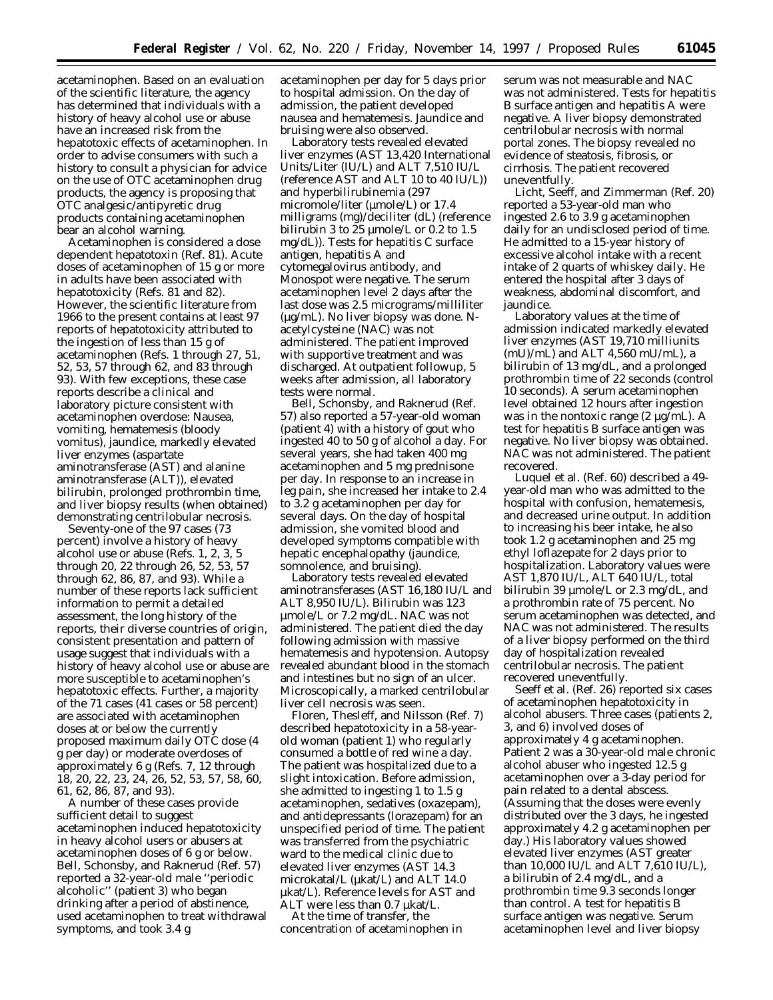acetaminophen. Based on an evaluation of the scientific literature, the agency has determined that individuals with a history of heavy alcohol use or abuse have an increased risk from the hepatotoxic effects of acetaminophen. In order to advise consumers with such a history to consult a physician for advice on the use of OTC acetaminophen drug products, the agency is proposing that OTC analgesic/antipyretic drug products containing acetaminophen bear an alcohol warning.

Acetaminophen is considered a dose dependent hepatotoxin (Ref. 81). Acute doses of acetaminophen of 15 g or more in adults have been associated with hepatotoxicity (Refs. 81 and 82). However, the scientific literature from 1966 to the present contains at least 97 reports of hepatotoxicity attributed to the ingestion of less than 15 g of acetaminophen (Refs. 1 through 27, 51, 52, 53, 57 through 62, and 83 through 93). With few exceptions, these case reports describe a clinical and laboratory picture consistent with acetaminophen overdose: Nausea, vomiting, hematemesis (bloody vomitus), jaundice, markedly elevated liver enzymes (aspartate aminotransferase (AST) and alanine aminotransferase (ALT)), elevated bilirubin, prolonged prothrombin time, and liver biopsy results (when obtained) demonstrating centrilobular necrosis.

Seventy-one of the 97 cases (73 percent) involve a history of heavy alcohol use or abuse (Refs. 1, 2, 3, 5 through 20, 22 through 26, 52, 53, 57 through 62, 86, 87, and 93). While a number of these reports lack sufficient information to permit a detailed assessment, the long history of the reports, their diverse countries of origin, consistent presentation and pattern of usage suggest that individuals with a history of heavy alcohol use or abuse are more susceptible to acetaminophen's hepatotoxic effects. Further, a majority of the 71 cases (41 cases or 58 percent) are associated with acetaminophen doses at or below the currently proposed maximum daily OTC dose (4 g per day) or moderate overdoses of approximately 6 g (Refs. 7, 12 through 18, 20, 22, 23, 24, 26, 52, 53, 57, 58, 60, 61, 62, 86, 87, and 93).

A number of these cases provide sufficient detail to suggest acetaminophen induced hepatotoxicity in heavy alcohol users or abusers at acetaminophen doses of 6 g or below. Bell, Schonsby, and Raknerud (Ref. 57) reported a 32-year-old male ''periodic alcoholic'' (patient 3) who began drinking after a period of abstinence, used acetaminophen to treat withdrawal symptoms, and took 3.4 g

acetaminophen per day for 5 days prior to hospital admission. On the day of admission, the patient developed nausea and hematemesis. Jaundice and bruising were also observed.

Laboratory tests revealed elevated liver enzymes (AST 13,420 International Units/Liter (IU/L) and ALT 7,510 IU/L (reference AST and ALT 10 to 40 IU/L)) and hyperbilirubinemia (297 micromole/liter (µmole/L) or 17.4 milligrams (mg)/deciliter (dL) (reference bilirubin 3 to 25  $\mu$ mole/L or 0.2 to 1.5 mg/dL)). Tests for hepatitis C surface antigen, hepatitis A and cytomegalovirus antibody, and Monospot were negative. The serum acetaminophen level 2 days after the last dose was 2.5 micrograms/milliliter (µg/mL). No liver biopsy was done. Nacetylcysteine (NAC) was not administered. The patient improved with supportive treatment and was discharged. At outpatient followup, 5 weeks after admission, all laboratory tests were normal.

Bell, Schonsby, and Raknerud (Ref. 57) also reported a 57-year-old woman (patient 4) with a history of gout who ingested 40 to 50 g of alcohol a day. For several years, she had taken 400 mg acetaminophen and 5 mg prednisone per day. In response to an increase in leg pain, she increased her intake to 2.4 to 3.2 g acetaminophen per day for several days. On the day of hospital admission, she vomited blood and developed symptoms compatible with hepatic encephalopathy (jaundice, somnolence, and bruising).

Laboratory tests revealed elevated aminotransferases (AST 16,180 IU/L and ALT 8,950 IU/L). Bilirubin was 123 µmole/L or 7.2 mg/dL. NAC was not administered. The patient died the day following admission with massive hematemesis and hypotension. Autopsy revealed abundant blood in the stomach and intestines but no sign of an ulcer. Microscopically, a marked centrilobular liver cell necrosis was seen.

Floren, Thesleff, and Nilsson (Ref. 7) described hepatotoxicity in a 58-yearold woman (patient 1) who regularly consumed a bottle of red wine a day. The patient was hospitalized due to a slight intoxication. Before admission, she admitted to ingesting 1 to 1.5 g acetaminophen, sedatives (oxazepam), and antidepressants (lorazepam) for an unspecified period of time. The patient was transferred from the psychiatric ward to the medical clinic due to elevated liver enzymes (AST 14.3 microkatal/L ( $\mu$ kat/L) and ALT 14.0 µkat/L). Reference levels for AST and ALT were less than 0.7 µkat/L.

At the time of transfer, the concentration of acetaminophen in serum was not measurable and NAC was not administered. Tests for hepatitis B surface antigen and hepatitis A were negative. A liver biopsy demonstrated centrilobular necrosis with normal portal zones. The biopsy revealed no evidence of steatosis, fibrosis, or cirrhosis. The patient recovered uneventfully.

Licht, Seeff, and Zimmerman (Ref. 20) reported a 53-year-old man who ingested 2.6 to 3.9 g acetaminophen daily for an undisclosed period of time. He admitted to a 15-year history of excessive alcohol intake with a recent intake of 2 quarts of whiskey daily. He entered the hospital after 3 days of weakness, abdominal discomfort, and jaundice.

Laboratory values at the time of admission indicated markedly elevated liver enzymes (AST 19,710 milliunits (mU)/mL) and ALT 4,560 mU/mL), a bilirubin of 13 mg/dL, and a prolonged prothrombin time of 22 seconds (control 10 seconds). A serum acetaminophen level obtained 12 hours after ingestion was in the nontoxic range  $(2 \mu g/mL)$ . A test for hepatitis B surface antigen was negative. No liver biopsy was obtained. NAC was not administered. The patient recovered.

Luquel et al. (Ref. 60) described a 49 year-old man who was admitted to the hospital with confusion, hematemesis, and decreased urine output. In addition to increasing his beer intake, he also took 1.2 g acetaminophen and 25 mg ethyl loflazepate for 2 days prior to hospitalization. Laboratory values were AST 1,870 IU/L, ALT 640 IU/L, total bilirubin 39 µmole/L or 2.3 mg/dL, and a prothrombin rate of 75 percent. No serum acetaminophen was detected, and NAC was not administered. The results of a liver biopsy performed on the third day of hospitalization revealed centrilobular necrosis. The patient recovered uneventfully.

Seeff et al. (Ref. 26) reported six cases of acetaminophen hepatotoxicity in alcohol abusers. Three cases (patients 2, 3, and 6) involved doses of approximately 4 g acetaminophen. Patient 2 was a 30-year-old male chronic alcohol abuser who ingested 12.5 g acetaminophen over a 3-day period for pain related to a dental abscess. (Assuming that the doses were evenly distributed over the 3 days, he ingested approximately 4.2 g acetaminophen per day.) His laboratory values showed elevated liver enzymes (AST greater than 10,000 IU/L and ALT 7,610 IU/L), a bilirubin of 2.4 mg/dL, and a prothrombin time 9.3 seconds longer than control. A test for hepatitis B surface antigen was negative. Serum acetaminophen level and liver biopsy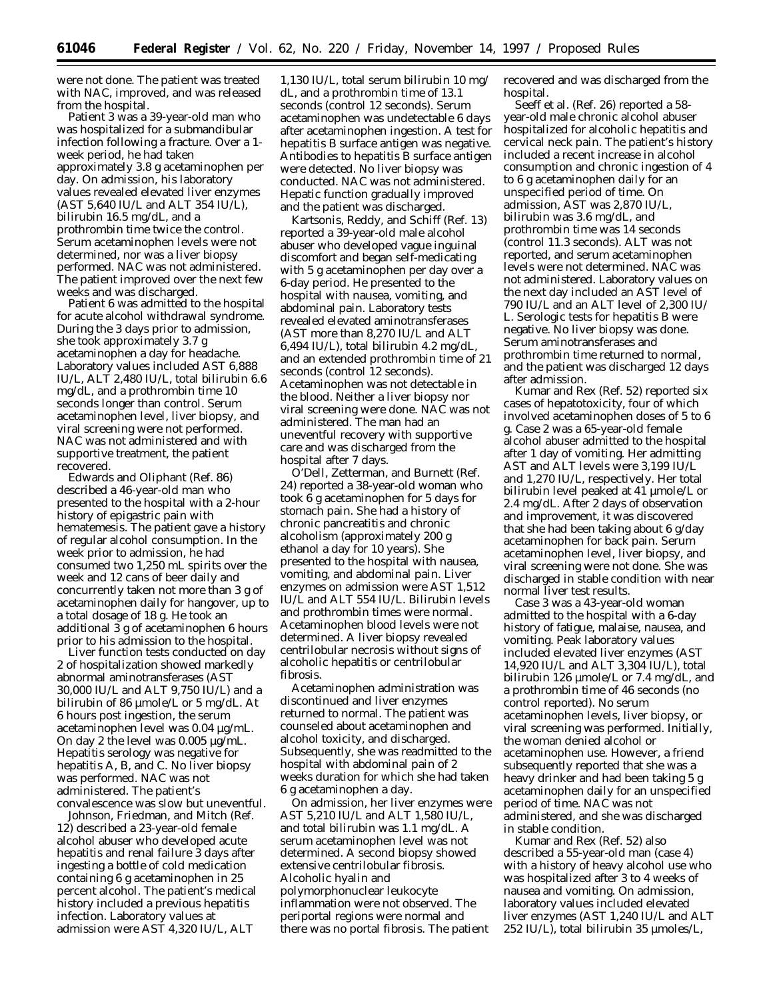were not done. The patient was treated with NAC, improved, and was released from the hospital.

Patient 3 was a 39-year-old man who was hospitalized for a submandibular infection following a fracture. Over a 1 week period, he had taken approximately 3.8 g acetaminophen per day. On admission, his laboratory values revealed elevated liver enzymes (AST 5,640 IU/L and ALT 354 IU/L), bilirubin 16.5 mg/dL, and a prothrombin time twice the control. Serum acetaminophen levels were not determined, nor was a liver biopsy performed. NAC was not administered. The patient improved over the next few weeks and was discharged.

Patient 6 was admitted to the hospital for acute alcohol withdrawal syndrome. During the 3 days prior to admission, she took approximately 3.7 g acetaminophen a day for headache. Laboratory values included AST 6,888 IU/L, ALT 2,480 IU/L, total bilirubin 6.6 mg/dL, and a prothrombin time 10 seconds longer than control. Serum acetaminophen level, liver biopsy, and viral screening were not performed. NAC was not administered and with supportive treatment, the patient recovered.

Edwards and Oliphant (Ref. 86) described a 46-year-old man who presented to the hospital with a 2-hour history of epigastric pain with hematemesis. The patient gave a history of regular alcohol consumption. In the week prior to admission, he had consumed two 1,250 mL spirits over the week and 12 cans of beer daily and concurrently taken not more than 3 g of acetaminophen daily for hangover, up to a total dosage of 18 g. He took an additional 3 g of acetaminophen 6 hours prior to his admission to the hospital.

Liver function tests conducted on day 2 of hospitalization showed markedly abnormal aminotransferases (AST 30,000 IU/L and ALT 9,750 IU/L) and a bilirubin of 86 µmole/L or 5 mg/dL. At 6 hours post ingestion, the serum acetaminophen level was 0.04 µg/mL. On day 2 the level was 0.005 µg/mL. Hepatitis serology was negative for hepatitis A, B, and C. No liver biopsy was performed. NAC was not administered. The patient's convalescence was slow but uneventful.

Johnson, Friedman, and Mitch (Ref. 12) described a 23-year-old female alcohol abuser who developed acute hepatitis and renal failure 3 days after ingesting a bottle of cold medication containing 6 g acetaminophen in 25 percent alcohol. The patient's medical history included a previous hepatitis infection. Laboratory values at admission were AST 4,320 IU/L, ALT

1,130 IU/L, total serum bilirubin 10 mg/ dL, and a prothrombin time of 13.1 seconds (control 12 seconds). Serum acetaminophen was undetectable 6 days after acetaminophen ingestion. A test for hepatitis B surface antigen was negative. Antibodies to hepatitis B surface antigen were detected. No liver biopsy was conducted. NAC was not administered. Hepatic function gradually improved and the patient was discharged.

Kartsonis, Reddy, and Schiff (Ref. 13) reported a 39-year-old male alcohol abuser who developed vague inguinal discomfort and began self-medicating with 5 g acetaminophen per day over a 6-day period. He presented to the hospital with nausea, vomiting, and abdominal pain. Laboratory tests revealed elevated aminotransferases (AST more than 8,270 IU/L and ALT 6,494 IU/L), total bilirubin 4.2 mg/dL, and an extended prothrombin time of 21 seconds (control 12 seconds). Acetaminophen was not detectable in the blood. Neither a liver biopsy nor viral screening were done. NAC was not administered. The man had an uneventful recovery with supportive care and was discharged from the hospital after 7 days.

O'Dell, Zetterman, and Burnett (Ref. 24) reported a 38-year-old woman who took 6 g acetaminophen for 5 days for stomach pain. She had a history of chronic pancreatitis and chronic alcoholism (approximately 200 g ethanol a day for 10 years). She presented to the hospital with nausea, vomiting, and abdominal pain. Liver enzymes on admission were AST 1,512 IU/L and ALT 554 IU/L. Bilirubin levels and prothrombin times were normal. Acetaminophen blood levels were not determined. A liver biopsy revealed centrilobular necrosis without signs of alcoholic hepatitis or centrilobular fibrosis.

Acetaminophen administration was discontinued and liver enzymes returned to normal. The patient was counseled about acetaminophen and alcohol toxicity, and discharged. Subsequently, she was readmitted to the hospital with abdominal pain of 2 weeks duration for which she had taken 6 g acetaminophen a day.

On admission, her liver enzymes were AST 5,210 IU/L and ALT 1,580 IU/L, and total bilirubin was 1.1 mg/dL. A serum acetaminophen level was not determined. A second biopsy showed extensive centrilobular fibrosis. Alcoholic hyalin and polymorphonuclear leukocyte inflammation were not observed. The periportal regions were normal and there was no portal fibrosis. The patient

recovered and was discharged from the hospital.

Seeff et al. (Ref. 26) reported a 58 year-old male chronic alcohol abuser hospitalized for alcoholic hepatitis and cervical neck pain. The patient's history included a recent increase in alcohol consumption and chronic ingestion of 4 to 6 g acetaminophen daily for an unspecified period of time. On admission, AST was 2,870 IU/L, bilirubin was 3.6 mg/dL, and prothrombin time was 14 seconds (control 11.3 seconds). ALT was not reported, and serum acetaminophen levels were not determined. NAC was not administered. Laboratory values on the next day included an AST level of 790 IU/L and an ALT level of 2,300 IU/ L. Serologic tests for hepatitis B were negative. No liver biopsy was done. Serum aminotransferases and prothrombin time returned to normal, and the patient was discharged 12 days after admission.

Kumar and Rex (Ref. 52) reported six cases of hepatotoxicity, four of which involved acetaminophen doses of 5 to 6 g. Case 2 was a 65-year-old female alcohol abuser admitted to the hospital after 1 day of vomiting. Her admitting AST and ALT levels were 3,199 IU/L and 1,270 IU/L, respectively. Her total bilirubin level peaked at 41 µmole/L or 2.4 mg/dL. After 2 days of observation and improvement, it was discovered that she had been taking about 6 g/day acetaminophen for back pain. Serum acetaminophen level, liver biopsy, and viral screening were not done. She was discharged in stable condition with near normal liver test results.

Case 3 was a 43-year-old woman admitted to the hospital with a 6-day history of fatigue, malaise, nausea, and vomiting. Peak laboratory values included elevated liver enzymes (AST 14,920 IU/L and ALT 3,304 IU/L), total bilirubin 126 µmole/L or 7.4 mg/dL, and a prothrombin time of 46 seconds (no control reported). No serum acetaminophen levels, liver biopsy, or viral screening was performed. Initially, the woman denied alcohol or acetaminophen use. However, a friend subsequently reported that she was a heavy drinker and had been taking 5 g acetaminophen daily for an unspecified period of time. NAC was not administered, and she was discharged in stable condition.

Kumar and Rex (Ref. 52) also described a 55-year-old man (case 4) with a history of heavy alcohol use who was hospitalized after 3 to 4 weeks of nausea and vomiting. On admission, laboratory values included elevated liver enzymes (AST 1,240 IU/L and ALT 252 IU/L), total bilirubin 35 µmoles/L,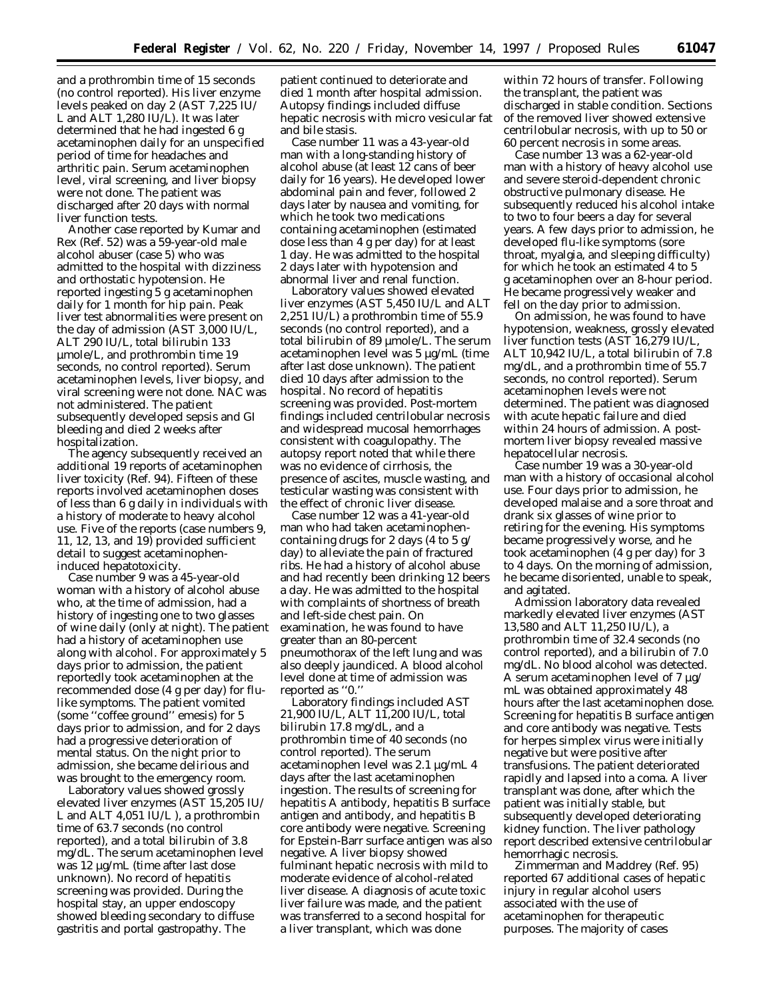and a prothrombin time of 15 seconds (no control reported). His liver enzyme levels peaked on day 2 (AST 7,225 IU/ L and ALT 1,280 IU/L). It was later determined that he had ingested 6 g acetaminophen daily for an unspecified period of time for headaches and arthritic pain. Serum acetaminophen level, viral screening, and liver biopsy were not done. The patient was discharged after 20 days with normal liver function tests.

Another case reported by Kumar and Rex (Ref. 52) was a 59-year-old male alcohol abuser (case 5) who was admitted to the hospital with dizziness and orthostatic hypotension. He reported ingesting 5 g acetaminophen daily for 1 month for hip pain. Peak liver test abnormalities were present on the day of admission (AST 3,000 IU/L, ALT 290 IU/L, total bilirubin 133 µmole/L, and prothrombin time 19 seconds, no control reported). Serum acetaminophen levels, liver biopsy, and viral screening were not done. NAC was not administered. The patient subsequently developed sepsis and GI bleeding and died 2 weeks after hospitalization.

The agency subsequently received an additional 19 reports of acetaminophen liver toxicity (Ref. 94). Fifteen of these reports involved acetaminophen doses of less than 6 g daily in individuals with a history of moderate to heavy alcohol use. Five of the reports (case numbers 9, 11, 12, 13, and 19) provided sufficient detail to suggest acetaminopheninduced hepatotoxicity.

Case number 9 was a 45-year-old woman with a history of alcohol abuse who, at the time of admission, had a history of ingesting one to two glasses of wine daily (only at night). The patient had a history of acetaminophen use along with alcohol. For approximately 5 days prior to admission, the patient reportedly took acetaminophen at the recommended dose (4 g per day) for flulike symptoms. The patient vomited (some ''coffee ground'' emesis) for 5 days prior to admission, and for 2 days had a progressive deterioration of mental status. On the night prior to admission, she became delirious and was brought to the emergency room.

Laboratory values showed grossly elevated liver enzymes (AST 15,205 IU/ L and ALT 4,051 IU/L ), a prothrombin time of 63.7 seconds (no control reported), and a total bilirubin of 3.8 mg/dL. The serum acetaminophen level was 12 µg/mL (time after last dose unknown). No record of hepatitis screening was provided. During the hospital stay, an upper endoscopy showed bleeding secondary to diffuse gastritis and portal gastropathy. The

patient continued to deteriorate and died 1 month after hospital admission. Autopsy findings included diffuse hepatic necrosis with micro vesicular fat and bile stasis.

Case number 11 was a 43-year-old man with a long-standing history of alcohol abuse (at least 12 cans of beer daily for 16 years). He developed lower abdominal pain and fever, followed 2 days later by nausea and vomiting, for which he took two medications containing acetaminophen (estimated dose less than 4 g per day) for at least 1 day. He was admitted to the hospital 2 days later with hypotension and abnormal liver and renal function.

Laboratory values showed elevated liver enzymes (AST 5,450 IU/L and ALT 2,251 IU/L) a prothrombin time of 55.9 seconds (no control reported), and a total bilirubin of 89 µmole/L. The serum acetaminophen level was 5 µg/mL (time after last dose unknown). The patient died 10 days after admission to the hospital. No record of hepatitis screening was provided. Post-mortem findings included centrilobular necrosis and widespread mucosal hemorrhages consistent with coagulopathy. The autopsy report noted that while there was no evidence of cirrhosis, the presence of ascites, muscle wasting, and testicular wasting was consistent with the effect of chronic liver disease.

Case number 12 was a 41-year-old man who had taken acetaminophencontaining drugs for 2 days (4 to 5 g/ day) to alleviate the pain of fractured ribs. He had a history of alcohol abuse and had recently been drinking 12 beers a day. He was admitted to the hospital with complaints of shortness of breath and left-side chest pain. On examination, he was found to have greater than an 80-percent pneumothorax of the left lung and was also deeply jaundiced. A blood alcohol level done at time of admission was reported as ''0.''

Laboratory findings included AST 21,900 IU/L, ALT 11,200 IU/L, total bilirubin 17.8 mg/dL, and a prothrombin time of 40 seconds (no control reported). The serum acetaminophen level was 2.1 µg/mL 4 days after the last acetaminophen ingestion. The results of screening for hepatitis A antibody, hepatitis B surface antigen and antibody, and hepatitis B core antibody were negative. Screening for Epstein-Barr surface antigen was also negative. A liver biopsy showed fulminant hepatic necrosis with mild to moderate evidence of alcohol-related liver disease. A diagnosis of acute toxic liver failure was made, and the patient was transferred to a second hospital for a liver transplant, which was done

within 72 hours of transfer. Following the transplant, the patient was discharged in stable condition. Sections of the removed liver showed extensive centrilobular necrosis, with up to 50 or 60 percent necrosis in some areas.

Case number 13 was a 62-year-old man with a history of heavy alcohol use and severe steroid-dependent chronic obstructive pulmonary disease. He subsequently reduced his alcohol intake to two to four beers a day for several years. A few days prior to admission, he developed flu-like symptoms (sore throat, myalgia, and sleeping difficulty) for which he took an estimated 4 to 5 g acetaminophen over an 8-hour period. He became progressively weaker and fell on the day prior to admission.

On admission, he was found to have hypotension, weakness, grossly elevated liver function tests (AST 16,279 IU/L, ALT 10,942 IU/L, a total bilirubin of 7.8 mg/dL, and a prothrombin time of 55.7 seconds, no control reported). Serum acetaminophen levels were not determined. The patient was diagnosed with acute hepatic failure and died within 24 hours of admission. A postmortem liver biopsy revealed massive hepatocellular necrosis.

Case number 19 was a 30-year-old man with a history of occasional alcohol use. Four days prior to admission, he developed malaise and a sore throat and drank six glasses of wine prior to retiring for the evening. His symptoms became progressively worse, and he took acetaminophen (4 g per day) for 3 to 4 days. On the morning of admission, he became disoriented, unable to speak, and agitated.

Admission laboratory data revealed markedly elevated liver enzymes (AST 13,580 and ALT 11,250 IU/L), a prothrombin time of 32.4 seconds (no control reported), and a bilirubin of 7.0 mg/dL. No blood alcohol was detected. A serum acetaminophen level of  $7 \mu g$ / mL was obtained approximately 48 hours after the last acetaminophen dose. Screening for hepatitis B surface antigen and core antibody was negative. Tests for herpes simplex virus were initially negative but were positive after transfusions. The patient deteriorated rapidly and lapsed into a coma. A liver transplant was done, after which the patient was initially stable, but subsequently developed deteriorating kidney function. The liver pathology report described extensive centrilobular hemorrhagic necrosis.

Zimmerman and Maddrey (Ref. 95) reported 67 additional cases of hepatic injury in regular alcohol users associated with the use of acetaminophen for therapeutic purposes. The majority of cases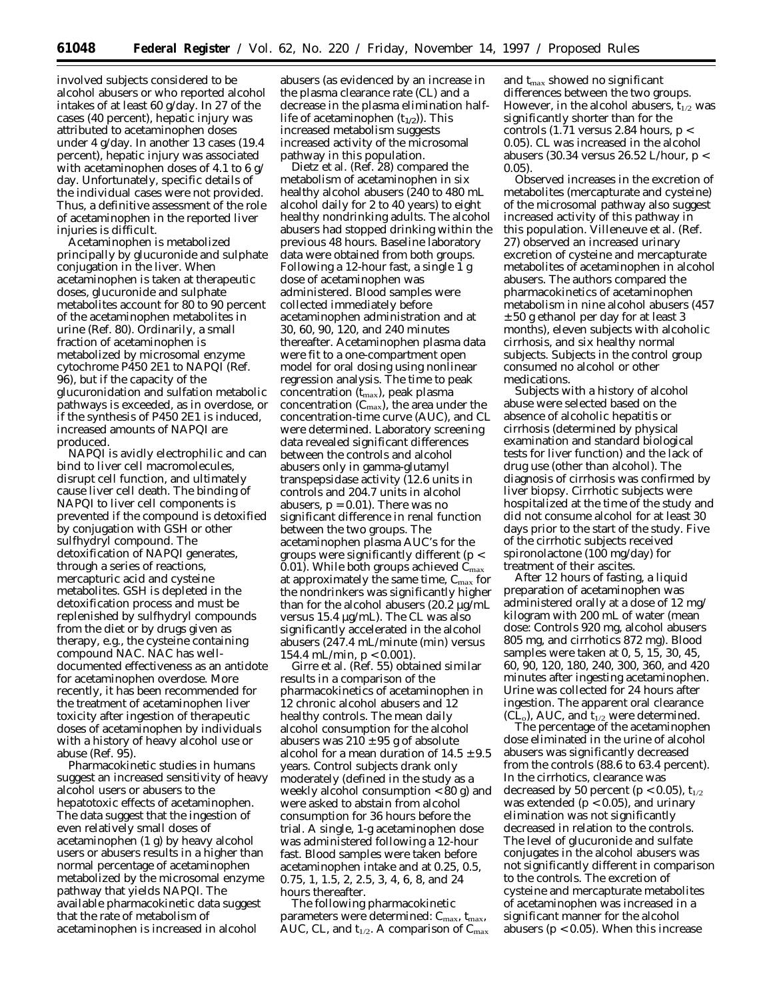involved subjects considered to be alcohol abusers or who reported alcohol intakes of at least 60 g/day. In 27 of the cases (40 percent), hepatic injury was attributed to acetaminophen doses under 4 g/day. In another 13 cases (19.4 percent), hepatic injury was associated with acetaminophen doses of 4.1 to 6 g/ day. Unfortunately, specific details of the individual cases were not provided. Thus, a definitive assessment of the role of acetaminophen in the reported liver injuries is difficult.

Acetaminophen is metabolized principally by glucuronide and sulphate conjugation in the liver. When acetaminophen is taken at therapeutic doses, glucuronide and sulphate metabolites account for 80 to 90 percent of the acetaminophen metabolites in urine (Ref. 80). Ordinarily, a small fraction of acetaminophen is metabolized by microsomal enzyme cytochrome P450 2E1 to NAPQI (Ref. 96), but if the capacity of the glucuronidation and sulfation metabolic pathways is exceeded, as in overdose, or if the synthesis of P450 2E1 is induced, increased amounts of NAPQI are produced.

NAPQI is avidly electrophilic and can bind to liver cell macromolecules, disrupt cell function, and ultimately cause liver cell death. The binding of NAPQI to liver cell components is prevented if the compound is detoxified by conjugation with GSH or other sulfhydryl compound. The detoxification of NAPQI generates, through a series of reactions, mercapturic acid and cysteine metabolites. GSH is depleted in the detoxification process and must be replenished by sulfhydryl compounds from the diet or by drugs given as therapy, e.g., the cysteine containing compound NAC. NAC has welldocumented effectiveness as an antidote for acetaminophen overdose. More recently, it has been recommended for the treatment of acetaminophen liver toxicity after ingestion of therapeutic doses of acetaminophen by individuals with a history of heavy alcohol use or abuse (Ref. 95).

Pharmacokinetic studies in humans suggest an increased sensitivity of heavy alcohol users or abusers to the hepatotoxic effects of acetaminophen. The data suggest that the ingestion of even relatively small doses of acetaminophen (1 g) by heavy alcohol users or abusers results in a higher than normal percentage of acetaminophen metabolized by the microsomal enzyme pathway that yields NAPQI. The available pharmacokinetic data suggest that the rate of metabolism of acetaminophen is increased in alcohol

abusers (as evidenced by an increase in the plasma clearance rate (CL) and a decrease in the plasma elimination halflife of acetaminophen  $(t_{1/2})$ ). This increased metabolism suggests increased activity of the microsomal pathway in this population.

Dietz et al. (Ref. 28) compared the metabolism of acetaminophen in six healthy alcohol abusers (240 to 480 mL alcohol daily for 2 to 40 years) to eight healthy nondrinking adults. The alcohol abusers had stopped drinking within the previous 48 hours. Baseline laboratory data were obtained from both groups. Following a 12-hour fast, a single 1 g dose of acetaminophen was administered. Blood samples were collected immediately before acetaminophen administration and at 30, 60, 90, 120, and 240 minutes thereafter. Acetaminophen plasma data were fit to a one-compartment open model for oral dosing using nonlinear regression analysis. The time to peak concentration  $(t_{\text{max}})$ , peak plasma concentration  $(C_{\text{max}})$ , the area under the concentration-time curve (AUC), and CL were determined. Laboratory screening data revealed significant differences between the controls and alcohol abusers only in gamma-glutamyl transpepsidase activity (12.6 units in controls and 204.7 units in alcohol abusers,  $p = 0.01$ ). There was no significant difference in renal function between the two groups. The acetaminophen plasma AUC's for the groups were significantly different (p < 0.01). While both groups achieved  $C_{\text{max}}$ at approximately the same time, Cmax for the nondrinkers was significantly higher than for the alcohol abusers (20.2 µg/mL versus 15.4 µg/mL). The CL was also significantly accelerated in the alcohol abusers (247.4 mL/minute (min) versus 154.4 mL/min,  $p < 0.001$ ).

Girre et al. (Ref. 55) obtained similar results in a comparison of the pharmacokinetics of acetaminophen in 12 chronic alcohol abusers and 12 healthy controls. The mean daily alcohol consumption for the alcohol abusers was  $210 \pm 95$  g of absolute alcohol for a mean duration of  $14.5 \pm 9.5$ years. Control subjects drank only moderately (defined in the study as a weekly alcohol consumption < 80 g) and were asked to abstain from alcohol consumption for 36 hours before the trial. A single, 1-g acetaminophen dose was administered following a 12-hour fast. Blood samples were taken before acetaminophen intake and at 0.25, 0.5, 0.75, 1, 1.5, 2, 2.5, 3, 4, 6, 8, and 24 hours thereafter.

The following pharmacokinetic parameters were determined:  $C_{\text{max}}$ ,  $t_{\text{max}}$ , AUC, CL, and  $t_{1/2}$ . A comparison of  $C_{\text{max}}$  and tmax showed no significant differences between the two groups. However, in the alcohol abusers,  $t_{1/2}$  was significantly shorter than for the controls (1.71 versus 2.84 hours, p < 0.05). CL was increased in the alcohol abusers (30.34 versus 26.52 L/hour, p < 0.05).

Observed increases in the excretion of metabolites (mercapturate and cysteine) of the microsomal pathway also suggest increased activity of this pathway in this population. Villeneuve et al. (Ref. 27) observed an increased urinary excretion of cysteine and mercapturate metabolites of acetaminophen in alcohol abusers. The authors compared the pharmacokinetics of acetaminophen metabolism in nine alcohol abusers (457 ± 50 g ethanol per day for at least 3 months), eleven subjects with alcoholic cirrhosis, and six healthy normal subjects. Subjects in the control group consumed no alcohol or other medications.

Subjects with a history of alcohol abuse were selected based on the absence of alcoholic hepatitis or cirrhosis (determined by physical examination and standard biological tests for liver function) and the lack of drug use (other than alcohol). The diagnosis of cirrhosis was confirmed by liver biopsy. Cirrhotic subjects were hospitalized at the time of the study and did not consume alcohol for at least 30 days prior to the start of the study. Five of the cirrhotic subjects received spironolactone (100 mg/day) for treatment of their ascites.

After 12 hours of fasting, a liquid preparation of acetaminophen was administered orally at a dose of 12 mg/ kilogram with 200 mL of water (mean dose: Controls 920 mg, alcohol abusers 805 mg, and cirrhotics 872 mg). Blood samples were taken at 0, 5, 15, 30, 45, 60, 90, 120, 180, 240, 300, 360, and 420 minutes after ingesting acetaminophen. Urine was collected for 24 hours after ingestion. The apparent oral clearance (CL<sub>o</sub>), AUC, and  $t_{1/2}$  were determined.

The percentage of the acetaminophen dose eliminated in the urine of alcohol abusers was significantly decreased from the controls (88.6 to 63.4 percent). In the cirrhotics, clearance was decreased by 50 percent ( $p < 0.05$ ),  $t_{1/2}$ was extended ( $p < 0.05$ ), and urinary elimination was not significantly decreased in relation to the controls. The level of glucuronide and sulfate conjugates in the alcohol abusers was not significantly different in comparison to the controls. The excretion of cysteine and mercapturate metabolites of acetaminophen was increased in a significant manner for the alcohol abusers ( $p < 0.05$ ). When this increase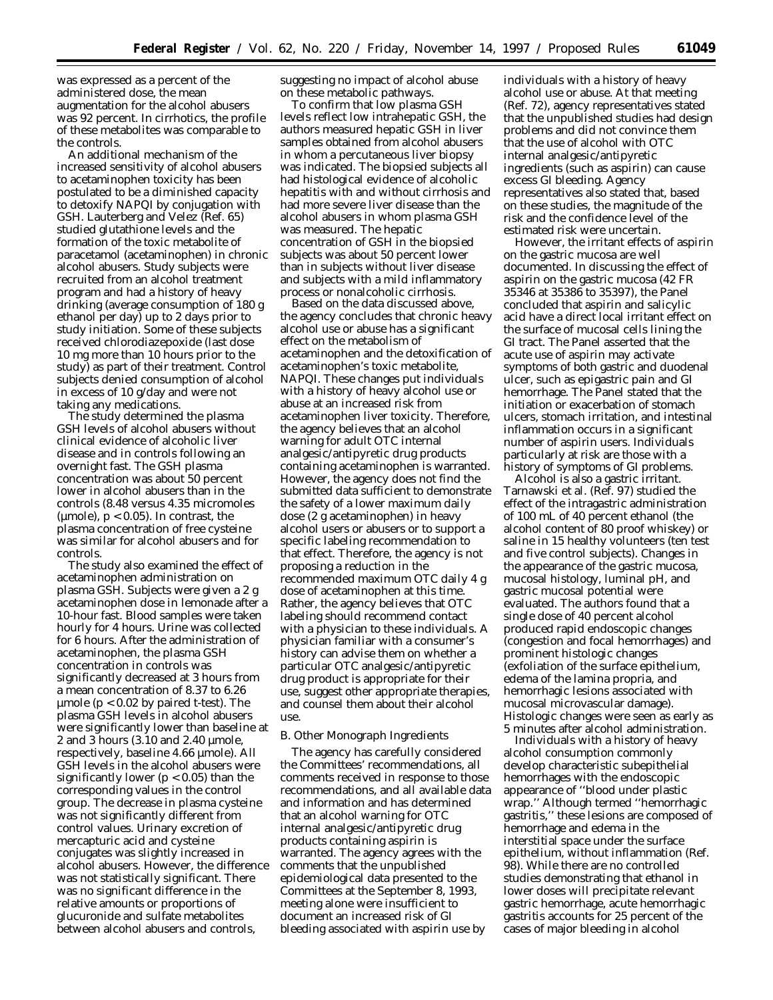was expressed as a percent of the administered dose, the mean augmentation for the alcohol abusers was 92 percent. In cirrhotics, the profile of these metabolites was comparable to the controls.

An additional mechanism of the increased sensitivity of alcohol abusers to acetaminophen toxicity has been postulated to be a diminished capacity to detoxify NAPQI by conjugation with GSH. Lauterberg and Velez (Ref. 65) studied glutathione levels and the formation of the toxic metabolite of paracetamol (acetaminophen) in chronic alcohol abusers. Study subjects were recruited from an alcohol treatment program and had a history of heavy drinking (average consumption of 180 g ethanol per day) up to 2 days prior to study initiation. Some of these subjects received chlorodiazepoxide (last dose 10 mg more than 10 hours prior to the study) as part of their treatment. Control subjects denied consumption of alcohol in excess of 10 g/day and were not taking any medications.

The study determined the plasma GSH levels of alcohol abusers without clinical evidence of alcoholic liver disease and in controls following an overnight fast. The GSH plasma concentration was about 50 percent lower in alcohol abusers than in the controls (8.48 versus 4.35 micromoles (umole),  $p < 0.05$ ). In contrast, the plasma concentration of free cysteine was similar for alcohol abusers and for controls.

The study also examined the effect of acetaminophen administration on plasma GSH. Subjects were given a 2 g acetaminophen dose in lemonade after a 10-hour fast. Blood samples were taken hourly for 4 hours. Urine was collected for 6 hours. After the administration of acetaminophen, the plasma GSH concentration in controls was significantly decreased at 3 hours from a mean concentration of 8.37 to 6.26  $\mu$ mole (p < 0.02 by paired t-test). The plasma GSH levels in alcohol abusers were significantly lower than baseline at 2 and 3 hours (3.10 and 2.40 µmole, respectively, baseline 4.66 µmole). All GSH levels in the alcohol abusers were significantly lower (p < 0.05) than the corresponding values in the control group. The decrease in plasma cysteine was not significantly different from control values. Urinary excretion of mercapturic acid and cysteine conjugates was slightly increased in alcohol abusers. However, the difference was not statistically significant. There was no significant difference in the relative amounts or proportions of glucuronide and sulfate metabolites between alcohol abusers and controls,

suggesting no impact of alcohol abuse on these metabolic pathways.

To confirm that low plasma GSH levels reflect low intrahepatic GSH, the authors measured hepatic GSH in liver samples obtained from alcohol abusers in whom a percutaneous liver biopsy was indicated. The biopsied subjects all had histological evidence of alcoholic hepatitis with and without cirrhosis and had more severe liver disease than the alcohol abusers in whom plasma GSH was measured. The hepatic concentration of GSH in the biopsied subjects was about 50 percent lower than in subjects without liver disease and subjects with a mild inflammatory process or nonalcoholic cirrhosis.

Based on the data discussed above, the agency concludes that chronic heavy alcohol use or abuse has a significant effect on the metabolism of acetaminophen and the detoxification of acetaminophen's toxic metabolite, NAPQI. These changes put individuals with a history of heavy alcohol use or abuse at an increased risk from acetaminophen liver toxicity. Therefore, the agency believes that an alcohol warning for adult OTC internal analgesic/antipyretic drug products containing acetaminophen is warranted. However, the agency does not find the submitted data sufficient to demonstrate the safety of a lower maximum daily dose (2 g acetaminophen) in heavy alcohol users or abusers or to support a specific labeling recommendation to that effect. Therefore, the agency is not proposing a reduction in the recommended maximum OTC daily 4 g dose of acetaminophen at this time. Rather, the agency believes that OTC labeling should recommend contact with a physician to these individuals. A physician familiar with a consumer's history can advise them on whether a particular OTC analgesic/antipyretic drug product is appropriate for their use, suggest other appropriate therapies, and counsel them about their alcohol use.

# *B. Other Monograph Ingredients*

The agency has carefully considered the Committees' recommendations, all comments received in response to those recommendations, and all available data and information and has determined that an alcohol warning for OTC internal analgesic/antipyretic drug products containing aspirin is warranted. The agency agrees with the comments that the unpublished epidemiological data presented to the Committees at the September 8, 1993, meeting alone were insufficient to document an increased risk of GI bleeding associated with aspirin use by

individuals with a history of heavy alcohol use or abuse. At that meeting (Ref. 72), agency representatives stated that the unpublished studies had design problems and did not convince them that the use of alcohol with OTC internal analgesic/antipyretic ingredients (such as aspirin) can cause excess GI bleeding. Agency representatives also stated that, based on these studies, the magnitude of the risk and the confidence level of the estimated risk were uncertain.

However, the irritant effects of aspirin on the gastric mucosa are well documented. In discussing the effect of aspirin on the gastric mucosa (42 FR 35346 at 35386 to 35397), the Panel concluded that aspirin and salicylic acid have a direct local irritant effect on the surface of mucosal cells lining the GI tract. The Panel asserted that the acute use of aspirin may activate symptoms of both gastric and duodenal ulcer, such as epigastric pain and GI hemorrhage. The Panel stated that the initiation or exacerbation of stomach ulcers, stomach irritation, and intestinal inflammation occurs in a significant number of aspirin users. Individuals particularly at risk are those with a history of symptoms of GI problems.

Alcohol is also a gastric irritant. Tarnawski et al. (Ref. 97) studied the effect of the intragastric administration of 100 mL of 40 percent ethanol (the alcohol content of 80 proof whiskey) or saline in 15 healthy volunteers (ten test and five control subjects). Changes in the appearance of the gastric mucosa, mucosal histology, luminal pH, and gastric mucosal potential were evaluated. The authors found that a single dose of 40 percent alcohol produced rapid endoscopic changes (congestion and focal hemorrhages) and prominent histologic changes (exfoliation of the surface epithelium, edema of the lamina propria, and hemorrhagic lesions associated with mucosal microvascular damage). Histologic changes were seen as early as 5 minutes after alcohol administration.

Individuals with a history of heavy alcohol consumption commonly develop characteristic subepithelial hemorrhages with the endoscopic appearance of ''blood under plastic wrap.'' Although termed ''hemorrhagic gastritis,'' these lesions are composed of hemorrhage and edema in the interstitial space under the surface epithelium, without inflammation (Ref. 98). While there are no controlled studies demonstrating that ethanol in lower doses will precipitate relevant gastric hemorrhage, acute hemorrhagic gastritis accounts for 25 percent of the cases of major bleeding in alcohol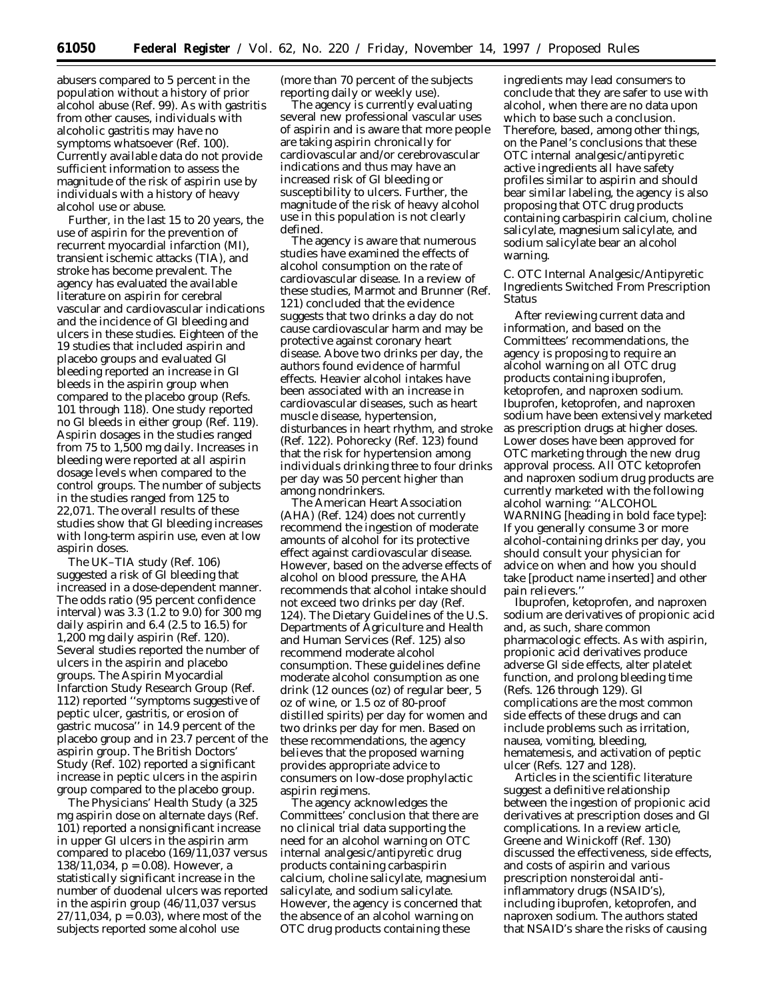abusers compared to 5 percent in the population without a history of prior alcohol abuse (Ref. 99). As with gastritis from other causes, individuals with alcoholic gastritis may have no symptoms whatsoever (Ref. 100). Currently available data do not provide sufficient information to assess the magnitude of the risk of aspirin use by individuals with a history of heavy alcohol use or abuse.

Further, in the last 15 to 20 years, the use of aspirin for the prevention of recurrent myocardial infarction (MI), transient ischemic attacks (TIA), and stroke has become prevalent. The agency has evaluated the available literature on aspirin for cerebral vascular and cardiovascular indications and the incidence of GI bleeding and ulcers in these studies. Eighteen of the 19 studies that included aspirin and placebo groups and evaluated GI bleeding reported an increase in GI bleeds in the aspirin group when compared to the placebo group (Refs. 101 through 118). One study reported no GI bleeds in either group (Ref. 119). Aspirin dosages in the studies ranged from 75 to 1,500 mg daily. Increases in bleeding were reported at all aspirin dosage levels when compared to the control groups. The number of subjects in the studies ranged from 125 to 22,071. The overall results of these studies show that GI bleeding increases with long-term aspirin use, even at low aspirin doses.

The UK–TIA study (Ref. 106) suggested a risk of GI bleeding that increased in a dose-dependent manner. The odds ratio (95 percent confidence interval) was 3.3 (1.2 to 9.0) for 300 mg daily aspirin and 6.4 (2.5 to 16.5) for 1,200 mg daily aspirin (Ref. 120). Several studies reported the number of ulcers in the aspirin and placebo groups. The Aspirin Myocardial Infarction Study Research Group (Ref. 112) reported ''symptoms suggestive of peptic ulcer, gastritis, or erosion of gastric mucosa'' in 14.9 percent of the placebo group and in 23.7 percent of the aspirin group. The British Doctors' Study (Ref. 102) reported a significant increase in peptic ulcers in the aspirin group compared to the placebo group.

The Physicians' Health Study (a 325 mg aspirin dose on alternate days (Ref. 101) reported a nonsignificant increase in upper GI ulcers in the aspirin arm compared to placebo (169/11,037 versus  $138/11,034, p = 0.08$ . However, a statistically significant increase in the number of duodenal ulcers was reported in the aspirin group (46/11,037 versus  $27/11,034, p = 0.03$ , where most of the subjects reported some alcohol use

(more than 70 percent of the subjects reporting daily or weekly use).

The agency is currently evaluating several new professional vascular uses of aspirin and is aware that more people are taking aspirin chronically for cardiovascular and/or cerebrovascular indications and thus may have an increased risk of GI bleeding or susceptibility to ulcers. Further, the magnitude of the risk of heavy alcohol use in this population is not clearly defined.

The agency is aware that numerous studies have examined the effects of alcohol consumption on the rate of cardiovascular disease. In a review of these studies, Marmot and Brunner (Ref. 121) concluded that the evidence suggests that two drinks a day do not cause cardiovascular harm and may be protective against coronary heart disease. Above two drinks per day, the authors found evidence of harmful effects. Heavier alcohol intakes have been associated with an increase in cardiovascular diseases, such as heart muscle disease, hypertension, disturbances in heart rhythm, and stroke (Ref. 122). Pohorecky (Ref. 123) found that the risk for hypertension among individuals drinking three to four drinks per day was 50 percent higher than among nondrinkers.

The American Heart Association (AHA) (Ref. 124) does not currently recommend the ingestion of moderate amounts of alcohol for its protective effect against cardiovascular disease. However, based on the adverse effects of alcohol on blood pressure, the AHA recommends that alcohol intake should not exceed two drinks per day (Ref. 124). The Dietary Guidelines of the U.S. Departments of Agriculture and Health and Human Services (Ref. 125) also recommend moderate alcohol consumption. These guidelines define moderate alcohol consumption as one drink (12 ounces (oz) of regular beer, 5 oz of wine, or 1.5 oz of 80-proof distilled spirits) per day for women and two drinks per day for men. Based on these recommendations, the agency believes that the proposed warning provides appropriate advice to consumers on low-dose prophylactic aspirin regimens.

The agency acknowledges the Committees' conclusion that there are no clinical trial data supporting the need for an alcohol warning on OTC internal analgesic/antipyretic drug products containing carbaspirin calcium, choline salicylate, magnesium salicylate, and sodium salicylate. However, the agency is concerned that the absence of an alcohol warning on OTC drug products containing these

ingredients may lead consumers to conclude that they are safer to use with alcohol, when there are no data upon which to base such a conclusion. Therefore, based, among other things, on the Panel's conclusions that these OTC internal analgesic/antipyretic active ingredients all have safety profiles similar to aspirin and should bear similar labeling, the agency is also proposing that OTC drug products containing carbaspirin calcium, choline salicylate, magnesium salicylate, and sodium salicylate bear an alcohol warning.

# *C. OTC Internal Analgesic/Antipyretic Ingredients Switched From Prescription Status*

After reviewing current data and information, and based on the Committees' recommendations, the agency is proposing to require an alcohol warning on all OTC drug products containing ibuprofen, ketoprofen, and naproxen sodium. Ibuprofen, ketoprofen, and naproxen sodium have been extensively marketed as prescription drugs at higher doses. Lower doses have been approved for OTC marketing through the new drug approval process. All OTC ketoprofen and naproxen sodium drug products are currently marketed with the following alcohol warning: ''ALCOHOL WARNING [heading in bold face type]: If you generally consume 3 or more alcohol-containing drinks per day, you should consult your physician for advice on when and how you should take [product name inserted] and other pain relievers.''

Ibuprofen, ketoprofen, and naproxen sodium are derivatives of propionic acid and, as such, share common pharmacologic effects. As with aspirin, propionic acid derivatives produce adverse GI side effects, alter platelet function, and prolong bleeding time (Refs. 126 through 129). GI complications are the most common side effects of these drugs and can include problems such as irritation, nausea, vomiting, bleeding, hematemesis, and activation of peptic ulcer (Refs. 127 and 128).

Articles in the scientific literature suggest a definitive relationship between the ingestion of propionic acid derivatives at prescription doses and GI complications. In a review article, Greene and Winickoff (Ref. 130) discussed the effectiveness, side effects, and costs of aspirin and various prescription nonsteroidal antiinflammatory drugs (NSAID's), including ibuprofen, ketoprofen, and naproxen sodium. The authors stated that NSAID's share the risks of causing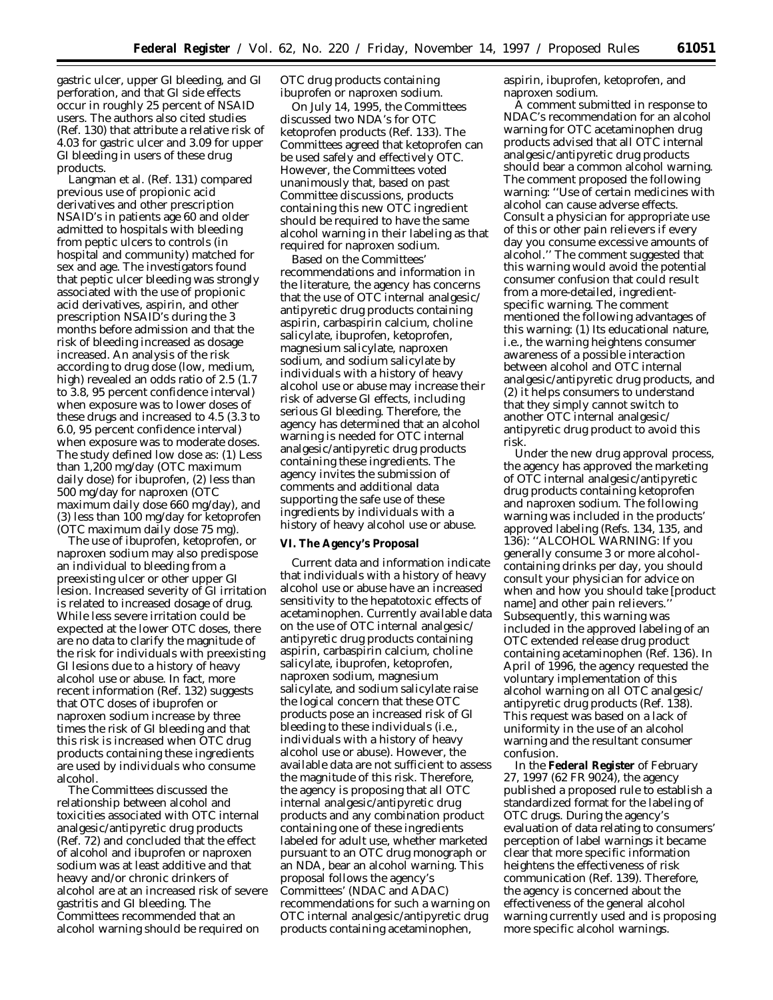gastric ulcer, upper GI bleeding, and GI perforation, and that GI side effects occur in roughly 25 percent of NSAID users. The authors also cited studies (Ref. 130) that attribute a relative risk of 4.03 for gastric ulcer and 3.09 for upper GI bleeding in users of these drug products.

Langman et al. (Ref. 131) compared previous use of propionic acid derivatives and other prescription NSAID's in patients age 60 and older admitted to hospitals with bleeding from peptic ulcers to controls (in hospital and community) matched for sex and age. The investigators found that peptic ulcer bleeding was strongly associated with the use of propionic acid derivatives, aspirin, and other prescription NSAID's during the 3 months before admission and that the risk of bleeding increased as dosage increased. An analysis of the risk according to drug dose (low, medium, high) revealed an odds ratio of 2.5 (1.7 to 3.8, 95 percent confidence interval) when exposure was to lower doses of these drugs and increased to 4.5 (3.3 to 6.0, 95 percent confidence interval) when exposure was to moderate doses. The study defined low dose as: (1) Less than 1,200 mg/day (OTC maximum daily dose) for ibuprofen, (2) less than 500 mg/day for naproxen (OTC maximum daily dose 660 mg/day), and (3) less than 100 mg/day for ketoprofen (OTC maximum daily dose 75 mg).

The use of ibuprofen, ketoprofen, or naproxen sodium may also predispose an individual to bleeding from a preexisting ulcer or other upper GI lesion. Increased severity of GI irritation is related to increased dosage of drug. While less severe irritation could be expected at the lower OTC doses, there are no data to clarify the magnitude of the risk for individuals with preexisting GI lesions due to a history of heavy alcohol use or abuse. In fact, more recent information (Ref. 132) suggests that OTC doses of ibuprofen or naproxen sodium increase by three times the risk of GI bleeding and that this risk is increased when OTC drug products containing these ingredients are used by individuals who consume alcohol.

The Committees discussed the relationship between alcohol and toxicities associated with OTC internal analgesic/antipyretic drug products (Ref. 72) and concluded that the effect of alcohol and ibuprofen or naproxen sodium was at least additive and that heavy and/or chronic drinkers of alcohol are at an increased risk of severe gastritis and GI bleeding. The Committees recommended that an alcohol warning should be required on

OTC drug products containing ibuprofen or naproxen sodium.

On July 14, 1995, the Committees discussed two NDA's for OTC ketoprofen products (Ref. 133). The Committees agreed that ketoprofen can be used safely and effectively OTC. However, the Committees voted unanimously that, based on past Committee discussions, products containing this new OTC ingredient should be required to have the same alcohol warning in their labeling as that required for naproxen sodium.

Based on the Committees' recommendations and information in the literature, the agency has concerns that the use of OTC internal analgesic/ antipyretic drug products containing aspirin, carbaspirin calcium, choline salicylate, ibuprofen, ketoprofen, magnesium salicylate, naproxen sodium, and sodium salicylate by individuals with a history of heavy alcohol use or abuse may increase their risk of adverse GI effects, including serious GI bleeding. Therefore, the agency has determined that an alcohol warning is needed for OTC internal analgesic/antipyretic drug products containing these ingredients. The agency invites the submission of comments and additional data supporting the safe use of these ingredients by individuals with a history of heavy alcohol use or abuse.

#### **VI. The Agency's Proposal**

Current data and information indicate that individuals with a history of heavy alcohol use or abuse have an increased sensitivity to the hepatotoxic effects of acetaminophen. Currently available data on the use of OTC internal analgesic/ antipyretic drug products containing aspirin, carbaspirin calcium, choline salicylate, ibuprofen, ketoprofen, naproxen sodium, magnesium salicylate, and sodium salicylate raise the logical concern that these OTC products pose an increased risk of GI bleeding to these individuals (i.e., individuals with a history of heavy alcohol use or abuse). However, the available data are not sufficient to assess the magnitude of this risk. Therefore, the agency is proposing that all OTC internal analgesic/antipyretic drug products and any combination product containing one of these ingredients labeled for adult use, whether marketed pursuant to an OTC drug monograph or an NDA, bear an alcohol warning. This proposal follows the agency's Committees' (NDAC and ADAC) recommendations for such a warning on OTC internal analgesic/antipyretic drug products containing acetaminophen,

aspirin, ibuprofen, ketoprofen, and naproxen sodium.

A comment submitted in response to NDAC's recommendation for an alcohol warning for OTC acetaminophen drug products advised that all OTC internal analgesic/antipyretic drug products should bear a common alcohol warning. The comment proposed the following warning: ''Use of certain medicines with alcohol can cause adverse effects. Consult a physician for appropriate use of this or other pain relievers if every day you consume excessive amounts of alcohol.'' The comment suggested that this warning would avoid the potential consumer confusion that could result from a more-detailed, ingredientspecific warning. The comment mentioned the following advantages of this warning: (1) Its educational nature, i.e., the warning heightens consumer awareness of a possible interaction between alcohol and OTC internal analgesic/antipyretic drug products, and (2) it helps consumers to understand that they simply cannot switch to another OTC internal analgesic/ antipyretic drug product to avoid this risk.

Under the new drug approval process, the agency has approved the marketing of OTC internal analgesic/antipyretic drug products containing ketoprofen and naproxen sodium. The following warning was included in the products' approved labeling (Refs. 134, 135, and 136): ''ALCOHOL WARNING: If you generally consume 3 or more alcoholcontaining drinks per day, you should consult your physician for advice on when and how you should take [product name] and other pain relievers.'' Subsequently, this warning was included in the approved labeling of an OTC extended release drug product containing acetaminophen (Ref. 136). In April of 1996, the agency requested the voluntary implementation of this alcohol warning on all OTC analgesic/ antipyretic drug products (Ref. 138). This request was based on a lack of uniformity in the use of an alcohol warning and the resultant consumer confusion.

In the **Federal Register** of February 27, 1997 (62 FR 9024), the agency published a proposed rule to establish a standardized format for the labeling of OTC drugs. During the agency's evaluation of data relating to consumers' perception of label warnings it became clear that more specific information heightens the effectiveness of risk communication (Ref. 139). Therefore, the agency is concerned about the effectiveness of the general alcohol warning currently used and is proposing more specific alcohol warnings.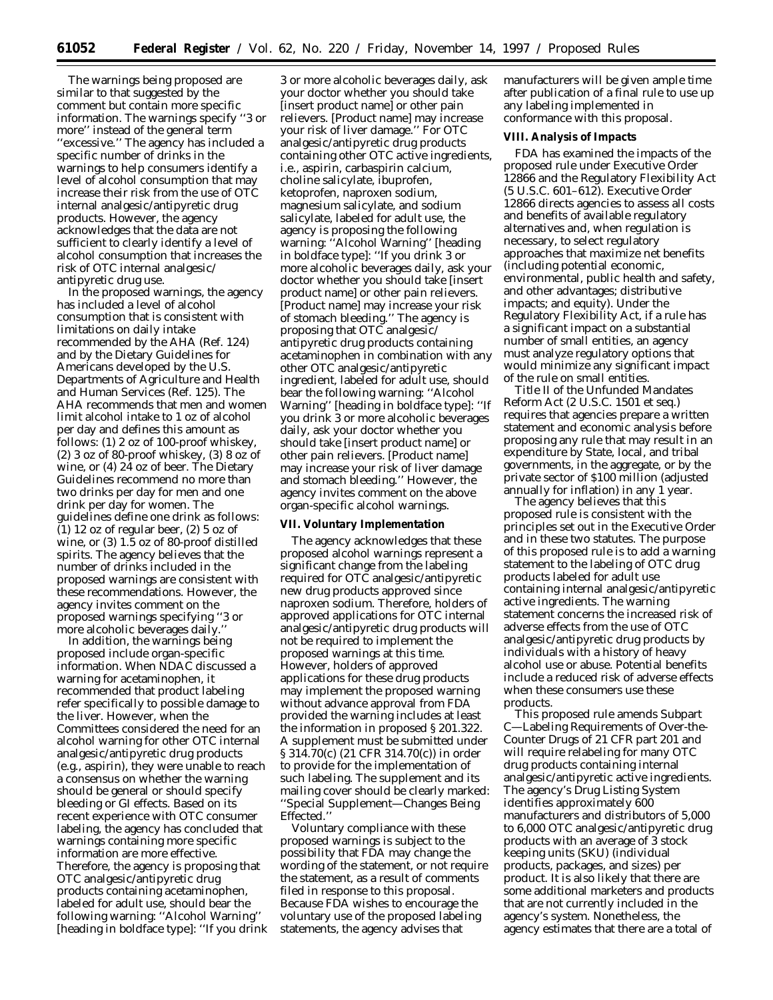The warnings being proposed are similar to that suggested by the comment but contain more specific information. The warnings specify ''3 or more'' instead of the general term ''excessive.'' The agency has included a specific number of drinks in the warnings to help consumers identify a level of alcohol consumption that may increase their risk from the use of OTC internal analgesic/antipyretic drug products. However, the agency acknowledges that the data are not sufficient to clearly identify a level of alcohol consumption that increases the risk of OTC internal analgesic/ antipyretic drug use.

In the proposed warnings, the agency has included a level of alcohol consumption that is consistent with limitations on daily intake recommended by the AHA (Ref. 124) and by the Dietary Guidelines for Americans developed by the U.S. Departments of Agriculture and Health and Human Services (Ref. 125). The AHA recommends that men and women limit alcohol intake to 1 oz of alcohol per day and defines this amount as follows: (1) 2 oz of 100-proof whiskey, (2) 3 oz of 80-proof whiskey, (3) 8 oz of wine, or (4) 24 oz of beer. The Dietary Guidelines recommend no more than two drinks per day for men and one drink per day for women. The guidelines define one drink as follows:  $(1)$  12 oz of regular beer,  $(2)$  5 oz of wine, or (3) 1.5 oz of 80-proof distilled spirits. The agency believes that the number of drinks included in the proposed warnings are consistent with these recommendations. However, the agency invites comment on the proposed warnings specifying ''3 or more alcoholic beverages daily.''

In addition, the warnings being proposed include organ-specific information. When NDAC discussed a warning for acetaminophen, it recommended that product labeling refer specifically to possible damage to the liver. However, when the Committees considered the need for an alcohol warning for other OTC internal analgesic/antipyretic drug products (e.g., aspirin), they were unable to reach a consensus on whether the warning should be general or should specify bleeding or GI effects. Based on its recent experience with OTC consumer labeling, the agency has concluded that warnings containing more specific information are more effective. Therefore, the agency is proposing that OTC analgesic/antipyretic drug products containing acetaminophen, labeled for adult use, should bear the following warning: ''Alcohol Warning'' [heading in boldface type]: ''If you drink

3 or more alcoholic beverages daily, ask your doctor whether you should take [insert product name] or other pain relievers. [Product name] may increase your risk of liver damage.'' For OTC analgesic/antipyretic drug products containing other OTC active ingredients, i.e., aspirin, carbaspirin calcium, choline salicylate, ibuprofen, ketoprofen, naproxen sodium, magnesium salicylate, and sodium salicylate, labeled for adult use, the agency is proposing the following warning: ''Alcohol Warning'' [heading in boldface type]: ''If you drink 3 or more alcoholic beverages daily, ask your doctor whether you should take [insert product name] or other pain relievers. [Product name] may increase your risk of stomach bleeding.'' The agency is proposing that OTC analgesic/ antipyretic drug products containing acetaminophen in combination with any other OTC analgesic/antipyretic ingredient, labeled for adult use, should bear the following warning: ''Alcohol Warning'' [heading in boldface type]: ''If you drink 3 or more alcoholic beverages daily, ask your doctor whether you should take [insert product name] or other pain relievers. [Product name] may increase your risk of liver damage and stomach bleeding.'' However, the agency invites comment on the above organ-specific alcohol warnings.

#### **VII. Voluntary Implementation**

The agency acknowledges that these proposed alcohol warnings represent a significant change from the labeling required for OTC analgesic/antipyretic new drug products approved since naproxen sodium. Therefore, holders of approved applications for OTC internal analgesic/antipyretic drug products will not be required to implement the proposed warnings at this time. However, holders of approved applications for these drug products may implement the proposed warning without advance approval from FDA provided the warning includes at least the information in proposed § 201.322. A supplement must be submitted under § 314.70(c) (21 CFR 314.70(c)) in order to provide for the implementation of such labeling. The supplement and its mailing cover should be clearly marked: ''Special Supplement—Changes Being Effected.''

Voluntary compliance with these proposed warnings is subject to the possibility that FDA may change the wording of the statement, or not require the statement, as a result of comments filed in response to this proposal. Because FDA wishes to encourage the voluntary use of the proposed labeling statements, the agency advises that

manufacturers will be given ample time after publication of a final rule to use up any labeling implemented in conformance with this proposal.

### **VIII. Analysis of Impacts**

FDA has examined the impacts of the proposed rule under Executive Order 12866 and the Regulatory Flexibility Act (5 U.S.C. 601–612). Executive Order 12866 directs agencies to assess all costs and benefits of available regulatory alternatives and, when regulation is necessary, to select regulatory approaches that maximize net benefits (including potential economic, environmental, public health and safety, and other advantages; distributive impacts; and equity). Under the Regulatory Flexibility Act, if a rule has a significant impact on a substantial number of small entities, an agency must analyze regulatory options that would minimize any significant impact of the rule on small entities.

Title II of the Unfunded Mandates Reform Act (2 U.S.C. 1501 *et seq*.) requires that agencies prepare a written statement and economic analysis before proposing any rule that may result in an expenditure by State, local, and tribal governments, in the aggregate, or by the private sector of \$100 million (adjusted annually for inflation) in any 1 year.

The agency believes that this proposed rule is consistent with the principles set out in the Executive Order and in these two statutes. The purpose of this proposed rule is to add a warning statement to the labeling of OTC drug products labeled for adult use containing internal analgesic/antipyretic active ingredients. The warning statement concerns the increased risk of adverse effects from the use of OTC analgesic/antipyretic drug products by individuals with a history of heavy alcohol use or abuse. Potential benefits include a reduced risk of adverse effects when these consumers use these products.

This proposed rule amends Subpart C—Labeling Requirements of Over-the-Counter Drugs of 21 CFR part 201 and will require relabeling for many OTC drug products containing internal analgesic/antipyretic active ingredients. The agency's Drug Listing System identifies approximately 600 manufacturers and distributors of 5,000 to 6,000 OTC analgesic/antipyretic drug products with an average of 3 stock keeping units (SKU) (individual products, packages, and sizes) per product. It is also likely that there are some additional marketers and products that are not currently included in the agency's system. Nonetheless, the agency estimates that there are a total of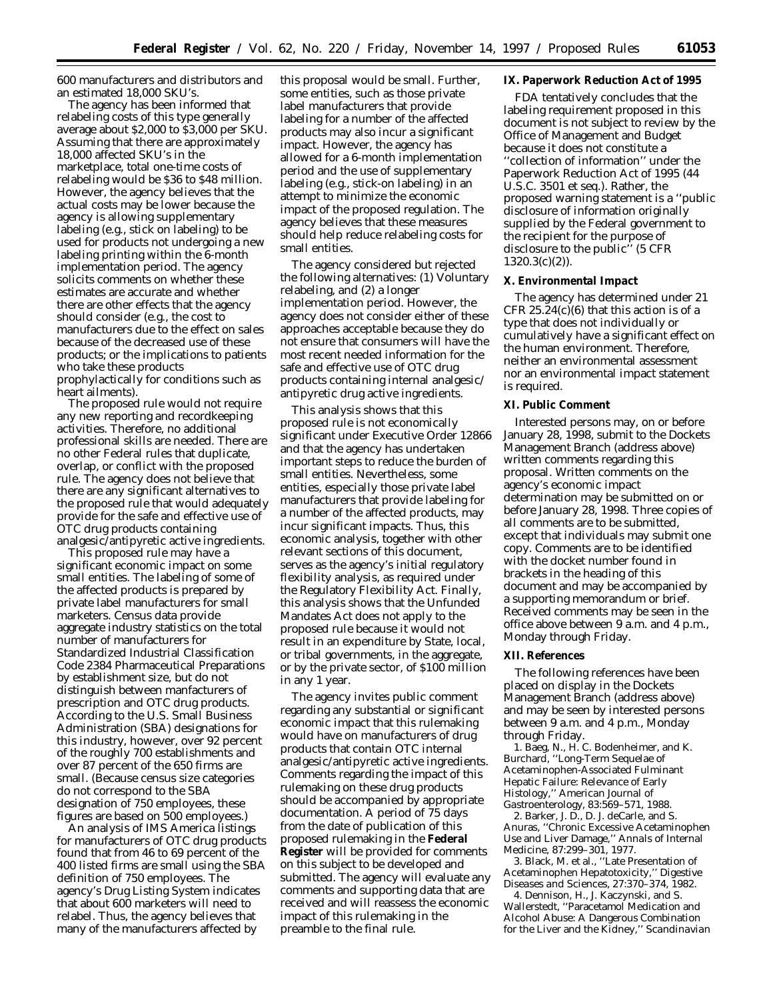600 manufacturers and distributors and an estimated 18,000 SKU's.

The agency has been informed that relabeling costs of this type generally average about \$2,000 to \$3,000 per SKU. Assuming that there are approximately 18,000 affected SKU's in the marketplace, total one-time costs of relabeling would be \$36 to \$48 million. However, the agency believes that the actual costs may be lower because the agency is allowing supplementary labeling (e.g., stick on labeling) to be used for products not undergoing a new labeling printing within the 6-month implementation period. The agency solicits comments on whether these estimates are accurate and whether there are other effects that the agency should consider (e.g., the cost to manufacturers due to the effect on sales because of the decreased use of these products; or the implications to patients who take these products prophylactically for conditions such as heart ailments).

The proposed rule would not require any new reporting and recordkeeping activities. Therefore, no additional professional skills are needed. There are no other Federal rules that duplicate, overlap, or conflict with the proposed rule. The agency does not believe that there are any significant alternatives to the proposed rule that would adequately provide for the safe and effective use of OTC drug products containing analgesic/antipyretic active ingredients.

This proposed rule may have a significant economic impact on some small entities. The labeling of some of the affected products is prepared by private label manufacturers for small marketers. Census data provide aggregate industry statistics on the total number of manufacturers for Standardized Industrial Classification Code 2384 Pharmaceutical Preparations by establishment size, but do not distinguish between manfacturers of prescription and OTC drug products. According to the U.S. Small Business Administration (SBA) designations for this industry, however, over 92 percent of the roughly 700 establishments and over 87 percent of the 650 firms are small. (Because census size categories do not correspond to the SBA designation of 750 employees, these figures are based on 500 employees.)

An analysis of IMS America listings for manufacturers of OTC drug products found that from 46 to 69 percent of the 400 listed firms are small using the SBA definition of 750 employees. The agency's Drug Listing System indicates that about 600 marketers will need to relabel. Thus, the agency believes that many of the manufacturers affected by

this proposal would be small. Further, some entities, such as those private label manufacturers that provide labeling for a number of the affected products may also incur a significant impact. However, the agency has allowed for a 6-month implementation period and the use of supplementary labeling (e.g., stick-on labeling) in an attempt to minimize the economic impact of the proposed regulation. The agency believes that these measures should help reduce relabeling costs for small entities.

The agency considered but rejected the following alternatives: (1) Voluntary relabeling, and (2) a longer implementation period. However, the agency does not consider either of these approaches acceptable because they do not ensure that consumers will have the most recent needed information for the safe and effective use of OTC drug products containing internal analgesic/ antipyretic drug active ingredients.

This analysis shows that this proposed rule is not economically significant under Executive Order 12866 and that the agency has undertaken important steps to reduce the burden of small entities. Nevertheless, some entities, especially those private label manufacturers that provide labeling for a number of the affected products, may incur significant impacts. Thus, this economic analysis, together with other relevant sections of this document, serves as the agency's initial regulatory flexibility analysis, as required under the Regulatory Flexibility Act. Finally, this analysis shows that the Unfunded Mandates Act does not apply to the proposed rule because it would not result in an expenditure by State, local, or tribal governments, in the aggregate, or by the private sector, of \$100 million in any 1 year.

The agency invites public comment regarding any substantial or significant economic impact that this rulemaking would have on manufacturers of drug products that contain OTC internal analgesic/antipyretic active ingredients. Comments regarding the impact of this rulemaking on these drug products should be accompanied by appropriate documentation. A period of 75 days from the date of publication of this proposed rulemaking in the **Federal Register** will be provided for comments on this subject to be developed and submitted. The agency will evaluate any comments and supporting data that are received and will reassess the economic impact of this rulemaking in the preamble to the final rule.

## **IX. Paperwork Reduction Act of 1995**

FDA tentatively concludes that the labeling requirement proposed in this document is not subject to review by the Office of Management and Budget because it does not constitute a ''collection of information'' under the Paperwork Reduction Act of 1995 (44 U.S.C. 3501 *et seq*.). Rather, the proposed warning statement is a ''public disclosure of information originally supplied by the Federal government to the recipient for the purpose of disclosure to the public'' (5 CFR 1320.3(c)(2)).

#### **X. Environmental Impact**

The agency has determined under 21 CFR 25.24 $(c)(6)$  that this action is of a type that does not individually or cumulatively have a significant effect on the human environment. Therefore, neither an environmental assessment nor an environmental impact statement is required.

#### **XI. Public Comment**

Interested persons may, on or before January 28, 1998, submit to the Dockets Management Branch (address above) written comments regarding this proposal. Written comments on the agency's economic impact determination may be submitted on or before January 28, 1998. Three copies of all comments are to be submitted, except that individuals may submit one copy. Comments are to be identified with the docket number found in brackets in the heading of this document and may be accompanied by a supporting memorandum or brief. Received comments may be seen in the office above between 9 a.m. and 4 p.m., Monday through Friday.

# **XII. References**

The following references have been placed on display in the Dockets Management Branch (address above) and may be seen by interested persons between 9 a.m. and 4 p.m., Monday through Friday.

1. Baeg, N., H. C. Bodenheimer, and K. Burchard, ''Long-Term Sequelae of Acetaminophen-Associated Fulminant Hepatic Failure: Relevance of Early Histology,'' *American Journal of Gastroenterology*, 83:569–571, 1988.

2. Barker, J. D., D. J. deCarle, and S. Anuras, ''Chronic Excessive Acetaminophen Use and Liver Damage,'' *Annals of Internal Medicine*, 87:299–301, 1977.

3. Black, M. et al., ''Late Presentation of Acetaminophen Hepatotoxicity,'' *Digestive Diseases and Sciences*, 27:370–374, 1982.

4. Dennison, H., J. Kaczynski, and S. Wallerstedt, ''Paracetamol Medication and Alcohol Abuse: A Dangerous Combination for the Liver and the Kidney,'' *Scandinavian*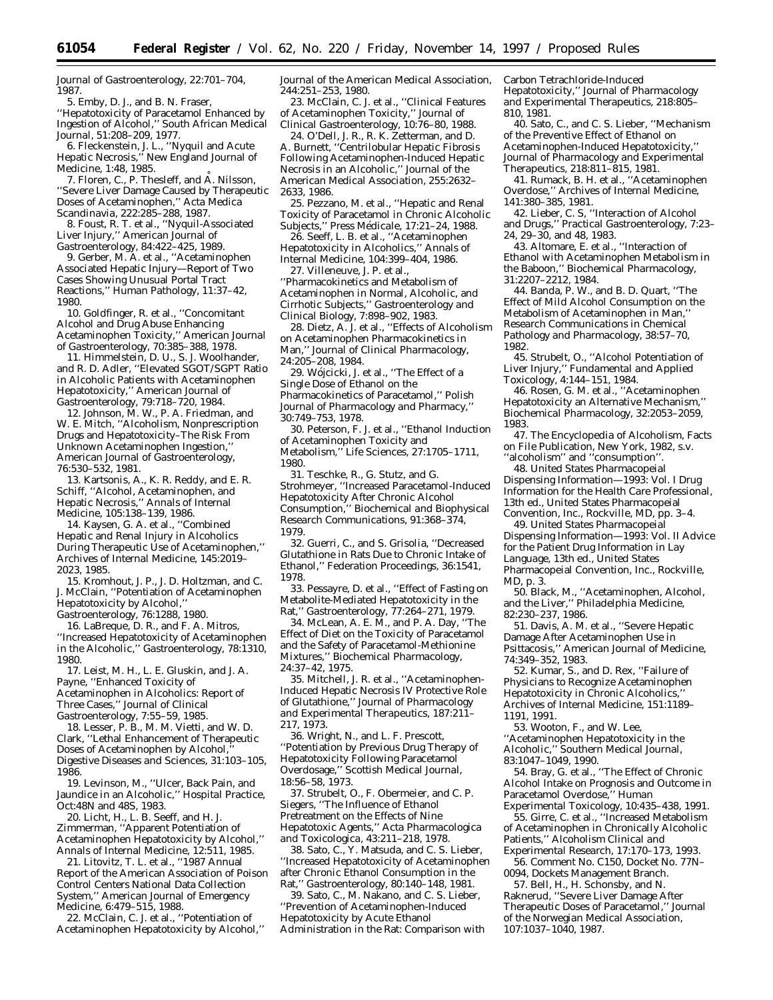*Journal of Gastroenterology*, 22:701–704, 1987.

5. Emby, D. J., and B. N. Fraser,

''Hepatotoxicity of Paracetamol Enhanced by Ingestion of Alcohol,'' *South African Medical Journal*, 51:208–209, 1977.

6. Fleckenstein, J. L., ''Nyquil and Acute Hepatic Necrosis,'' *New England Journal of Medicine*, 1:48, 1985.

7. Floren, C., P. Thesleff, and Å. Nilsson, ''Severe Liver Damage Caused by Therapeutic Doses of Acetaminophen,'' *Acta Medica Scandinavia*, 222:285–288, 1987.

8. Foust, R. T. et al., ''Nyquil-Associated Liver Injury,'' *American Journal of Gastroenterology,* 84:422–425, 1989.

9. Gerber, M. A. et al., ''Acetaminophen Associated Hepatic Injury—Report of Two Cases Showing Unusual Portal Tract Reactions,'' *Human Pathology*, 11:37–42, 1980.

10. Goldfinger, R. et al., ''Concomitant Alcohol and Drug Abuse Enhancing Acetaminophen Toxicity,'' *American Journal of Gastroenterology*, 70:385–388, 1978.

11. Himmelstein, D. U., S. J. Woolhander, and R. D. Adler, ''Elevated SGOT/SGPT Ratio in Alcoholic Patients with Acetaminophen Hepatotoxicity,'' *American Journal of Gastroenterology*, 79:718–720, 1984.

12. Johnson, M. W., P. A. Friedman, and W. E. Mitch, ''Alcoholism, Nonprescription Drugs and Hepatotoxicity–The Risk From Unknown Acetaminophen Ingestion,'' *American Journal of Gastroenterology*, 76:530–532, 1981.

13. Kartsonis, A., K. R. Reddy, and E. R. Schiff, ''Alcohol, Acetaminophen, and Hepatic Necrosis,'' *Annals of Internal Medicine*, 105:138–139, 1986.

14. Kaysen, G. A. et al., ''Combined Hepatic and Renal Injury in Alcoholics During Therapeutic Use of Acetaminophen,'' *Archives of Internal Medicine*, 145:2019– 2023, 1985.

15. Kromhout, J. P., J. D. Holtzman, and C. J. McClain, ''Potentiation of Acetaminophen Hepatotoxicity by Alcohol,''

*Gastroenterology*, 76:1288, 1980.

16. LaBreque, D. R., and F. A. Mitros, ''Increased Hepatotoxicity of Acetaminophen in the Alcoholic,'' *Gastroenterology*, 78:1310, 1980.

17. Leist, M. H., L. E. Gluskin, and J. A. Payne, ''Enhanced Toxicity of

Acetaminophen in Alcoholics: Report of

Three Cases,'' *Journal of Clinical*

*Gastroenterology*, 7:55–59, 1985.

18. Lesser, P. B., M. M. Vietti, and W. D. Clark, ''Lethal Enhancement of Therapeutic Doses of Acetaminophen by Alcohol, *Digestive Diseases and Sciences*, 31:103–105, 1986.

19. Levinson, M., ''Ulcer, Back Pain, and Jaundice in an Alcoholic,'' *Hospital Practice*, Oct:48N and 48S, 1983.

20. Licht, H., L. B. Seeff, and H. J. Zimmerman, ''Apparent Potentiation of Acetaminophen Hepatotoxicity by Alcohol,'' *Annals of Internal Medicine*, 12:511, 1985.

21. Litovitz, T. L. et al., ''1987 Annual Report of the American Association of Poison Control Centers National Data Collection System,'' *American Journal of Emergency Medicine*, 6:479–515, 1988.

22. McClain, C. J. et al., ''Potentiation of Acetaminophen Hepatotoxicity by Alcohol,'' *Journal of the American Medical Association*, 244:251–253, 1980.

23. McClain, C. J. et al., ''Clinical Features of Acetaminophen Toxicity,'' *Journal of Clinical Gastroenterology*, 10:76–80, 1988.

24. O'Dell, J. R., R. K. Zetterman, and D. A. Burnett, ''Centrilobular Hepatic Fibrosis Following Acetaminophen-Induced Hepatic Necrosis in an Alcoholic,'' *Journal of the American Medical Association*, 255:2632– 2633, 1986.

25. Pezzano, M. et al., ''Hepatic and Renal Toxicity of Paracetamol in Chronic Alcoholic Subjects," Press Médicale, 17:21-24, 1988.

26. Seeff, L. B. et al., ''Acetaminophen Hepatotoxicity in Alcoholics,'' *Annals of Internal Medicine*, 104:399–404, 1986. 27. Villeneuve, J. P. et al.,

''Pharmacokinetics and Metabolism of Acetaminophen in Normal, Alcoholic, and Cirrhotic Subjects,'' *Gastroenterology and Clinical Biology*, 7:898–902, 1983.

28. Dietz, A. J. et al., ''Effects of Alcoholism on Acetaminophen Pharmacokinetics in Man,'' *Journal of Clinical Pharmacology*, 24:205–208, 1984.

29. Wójcicki, J. et al., "The Effect of a Single Dose of Ethanol on the Pharmacokinetics of Paracetamol,'' *Polish Journal of Pharmacology and Pharmacy,'' 30:749–753, 1978.*

30. Peterson, F. J. et al., ''Ethanol Induction of Acetaminophen Toxicity and Metabolism,'' *Life Sciences*, 27:1705–1711, 1980.

31. Teschke, R., G. Stutz, and G. Strohmeyer, ''Increased Paracetamol-Induced Hepatotoxicity After Chronic Alcohol Consumption,'' *Biochemical and Biophysical Research Communications*, 91:368–374, 1979.

32. Guerri, C., and S. Grisolia, ''Decreased Glutathione in Rats Due to Chronic Intake of Ethanol,'' *Federation Proceedings*, 36:1541, 1978.

33. Pessayre, D. et al., ''Effect of Fasting on Metabolite-Mediated Hepatotoxicity in the Rat,'' *Gastroenterology*, 77:264–271, 1979.

34. McLean, A. E. M., and P. A. Day, ''The Effect of Diet on the Toxicity of Paracetamol and the Safety of Paracetamol-Methionine Mixtures,'' *Biochemical Pharmacology*, 24:37–42, 1975.

35. Mitchell, J. R. et al., ''Acetaminophen-Induced Hepatic Necrosis IV Protective Role of Glutathione,'' *Journal of Pharmacology and Experimental Therapeutics*, 187:211– 217, 1973.

36. Wright, N., and L. F. Prescott, ''Potentiation by Previous Drug Therapy of Hepatotoxicity Following Paracetamol Overdosage,'' *Scottish Medical Journal*, 18:56–58, 1973.

37. Strubelt, O., F. Obermeier, and C. P. Siegers, ''The Influence of Ethanol Pretreatment on the Effects of Nine Hepatotoxic Agents,'' *Acta Pharmacologica and Toxicologica*, 43:211–218, 1978.

38. Sato, C., Y. Matsuda, and C. S. Lieber, ''Increased Hepatotoxicity of Acetaminophen after Chronic Ethanol Consumption in the Rat,'' *Gastroenterology*, 80:140–148, 1981.

39. Sato, C., M. Nakano, and C. S. Lieber, ''Prevention of Acetaminophen-Induced Hepatotoxicity by Acute Ethanol Administration in the Rat: Comparison with Carbon Tetrachloride-Induced Hepatotoxicity,'' *Journal of Pharmacology and Experimental Therapeutics*, 218:805– 810, 1981.

40. Sato, C., and C. S. Lieber, ''Mechanism of the Preventive Effect of Ethanol on Acetaminophen-Induced Hepatotoxicity,'' *Journal of Pharmacology and Experimental Therapeutics*, 218:811–815, 1981.

41. Rumack, B. H. et al., ''Acetaminophen Overdose,'' *Archives of Internal Medicine*, 141:380–385, 1981.

42. Lieber, C. S, ''Interaction of Alcohol and Drugs,'' *Practical Gastroenterology*, 7:23– 24, 29–30, and 48, 1983.

43. Altomare, E. et al., ''Interaction of Ethanol with Acetaminophen Metabolism in the Baboon,'' *Biochemical Pharmacology*, 31:2207–2212, 1984.

44. Banda, P. W., and B. D. Quart, ''The Effect of Mild Alcohol Consumption on the Metabolism of Acetaminophen in Man, *Research Communications in Chemical Pathology and Pharmacology*, 38:57–70, 1982.

45. Strubelt, O., ''Alcohol Potentiation of Liver Injury,'' *Fundamental and Applied Toxicology*, 4:144–151, 1984.

46. Rosen, G. M. et al., ''Acetaminophen Hepatotoxicity an Alternative Mechanism,'' *Biochemical Pharmacology*, 32:2053–2059, 1983.

47. *The Encyclopedia of Alcoholism*, Facts on File Publication, New York, 1982, s.v. ''alcoholism'' and ''consumption''.

48. *United States Pharmacopeial Dispensing Information—1993: Vol. I Drug Information for the Health Care Professional*, 13th ed., United States Pharmacopeial Convention, Inc., Rockville, MD, pp. 3–4.

49. *United States Pharmacopeial Dispensing Information—1993: Vol. II Advice for the Patient Drug Information in Lay Language*, 13th ed., United States Pharmacopeial Convention, Inc., Rockville, MD, p. 3.

50. Black, M., ''Acetaminophen, Alcohol, and the Liver,'' *Philadelphia Medicine*, 82:230–237, 1986.

51. Davis, A. M. et al., ''Severe Hepatic Damage After Acetaminophen Use in Psittacosis,'' *American Journal of Medicine*, 74:349–352, 1983.

52. Kumar, S., and D. Rex, ''Failure of Physicians to Recognize Acetaminophen Hepatotoxicity in Chronic Alcoholics,'' *Archives of Internal Medicine*, 151:1189– 1191, 1991.

53. Wooton, F., and W. Lee, ''Acetaminophen Hepatotoxicity in the Alcoholic,'' *Southern Medical Journal*, 83:1047–1049, 1990.

54. Bray, G. et al., ''The Effect of Chronic Alcohol Intake on Prognosis and Outcome in Paracetamol Overdose,'' *Human*

*Experimental Toxicology*, 10:435–438, 1991. 55. Girre, C. et al., ''Increased Metabolism of Acetaminophen in Chronically Alcoholic Patients,'' *Alcoholism Clinical and Experimental Research*, 17:170–173, 1993.

56. Comment No. C150, Docket No. 77N– 0094, Dockets Management Branch.

57. Bell, H., H. Schonsby, and N. Raknerud, ''Severe Liver Damage After Therapeutic Doses of Paracetamol,'' *Journal of the Norwegian Medical Association*, 107:1037–1040, 1987.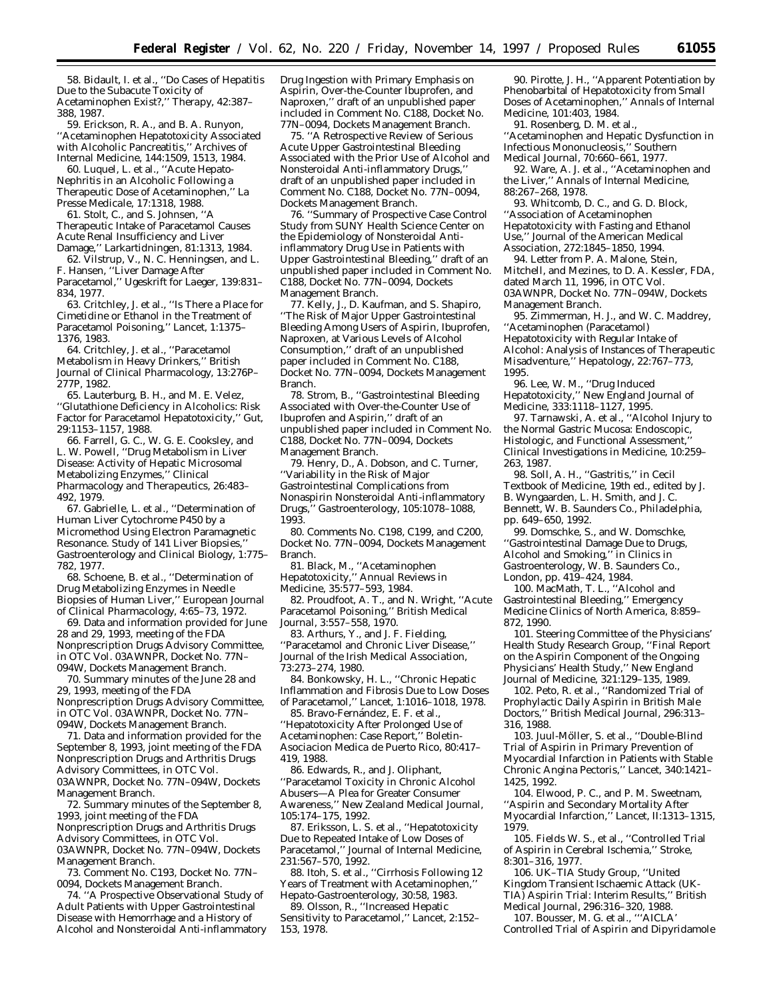58. Bidault, I. et al., ''Do Cases of Hepatitis Due to the Subacute Toxicity of Acetaminophen Exist?,'' *Therapy*, 42:387– 388, 1987.

59. Erickson, R. A., and B. A. Runyon, ''Acetaminophen Hepatotoxicity Associated with Alcoholic Pancreatitis,'' *Archives of Internal Medicine*, 144:1509, 1513, 1984.

60. Luquel, L. et al., ''Acute Hepato-Nephritis in an Alcoholic Following a Therapeutic Dose of Acetaminophen,'' *La Presse Medicale*, 17:1318, 1988.

61. Stolt, C., and S. Johnsen, ''A Therapeutic Intake of Paracetamol Causes Acute Renal Insufficiency and Liver Damage,'' *Larkartidningen*, 81:1313, 1984.

62. Vilstrup, V., N. C. Henningsen, and L. F. Hansen, ''Liver Damage After

Paracetamol,'' *Ugeskrift for Laeger*, 139:831– 834, 1977.

63. Critchley, J. et al., ''Is There a Place for Cimetidine or Ethanol in the Treatment of Paracetamol Poisoning,'' *Lancet*, 1:1375– 1376, 1983.

64. Critchley, J. et al., ''Paracetamol Metabolism in Heavy Drinkers,'' *British Journal of Clinical Pharmacology*, 13:276P– 277P, 1982.

65. Lauterburg, B. H., and M. E. Velez, ''Glutathione Deficiency in Alcoholics: Risk Factor for Paracetamol Hepatotoxicity,'' *Gut*, 29:1153–1157, 1988.

66. Farrell, G. C., W. G. E. Cooksley, and L. W. Powell, ''Drug Metabolism in Liver Disease: Activity of Hepatic Microsomal Metabolizing Enzymes,'' *Clinical Pharmacology and Therapeutics*, 26:483– 492, 1979.

67. Gabrielle, L. et al., ''Determination of Human Liver Cytochrome P450 by a Micromethod Using Electron Paramagnetic Resonance. Study of 141 Liver Biopsies,'' *Gastroenterology and Clinical Biology*, 1:775– 782, 1977.

68. Schoene, B. et al., ''Determination of Drug Metabolizing Enzymes in Needle Biopsies of Human Liver,'' *European Journal of Clinical Pharmacology*, 4:65–73, 1972.

69. Data and information provided for June 28 and 29, 1993, meeting of the FDA Nonprescription Drugs Advisory Committee, in OTC Vol. 03AWNPR, Docket No. 77N– 094W, Dockets Management Branch.

70. Summary minutes of the June 28 and 29, 1993, meeting of the FDA Nonprescription Drugs Advisory Committee, in OTC Vol. 03AWNPR, Docket No. 77N– 094W, Dockets Management Branch.

71. Data and information provided for the September 8, 1993, joint meeting of the FDA Nonprescription Drugs and Arthritis Drugs Advisory Committees, in OTC Vol. 03AWNPR, Docket No. 77N–094W, Dockets Management Branch.

72. Summary minutes of the September 8, 1993, joint meeting of the FDA Nonprescription Drugs and Arthritis Drugs Advisory Committees, in OTC Vol. 03AWNPR, Docket No. 77N–094W, Dockets Management Branch.

73. Comment No. C193, Docket No. 77N– 0094, Dockets Management Branch.

74. ''A Prospective Observational Study of Adult Patients with Upper Gastrointestinal Disease with Hemorrhage and a History of Alcohol and Nonsteroidal Anti-inflammatory Drug Ingestion with Primary Emphasis on Aspirin, Over-the-Counter Ibuprofen, and Naproxen,'' draft of an unpublished paper included in Comment No. C188, Docket No. 77N–0094, Dockets Management Branch.

75. ''A Retrospective Review of Serious Acute Upper Gastrointestinal Bleeding Associated with the Prior Use of Alcohol and Nonsteroidal Anti-inflammatory Drugs,'' draft of an unpublished paper included in Comment No. C188, Docket No. 77N–0094, Dockets Management Branch.

76. ''Summary of Prospective Case Control Study from SUNY Health Science Center on the Epidemiology of Nonsteroidal Antiinflammatory Drug Use in Patients with Upper Gastrointestinal Bleeding,'' draft of an unpublished paper included in Comment No. C188, Docket No. 77N–0094, Dockets Management Branch.

77. Kelly, J., D. Kaufman, and S. Shapiro, ''The Risk of Major Upper Gastrointestinal Bleeding Among Users of Aspirin, Ibuprofen, Naproxen, at Various Levels of Alcohol Consumption,'' draft of an unpublished paper included in Comment No. C188, Docket No. 77N–0094, Dockets Management Branch.

78. Strom, B., ''Gastrointestinal Bleeding Associated with Over-the-Counter Use of Ibuprofen and Aspirin,'' draft of an unpublished paper included in Comment No. C188, Docket No. 77N–0094, Dockets Management Branch.

79. Henry, D., A. Dobson, and C. Turner, ''Variability in the Risk of Major Gastrointestinal Complications from Nonaspirin Nonsteroidal Anti-inflammatory Drugs,'' *Gastroenterology*, 105:1078–1088, 1993.

80. Comments No. C198, C199, and C200, Docket No. 77N–0094, Dockets Management Branch.

81. Black, M., ''Acetaminophen Hepatotoxicity,'' *Annual Reviews in Medicine*, 35:577–593, 1984.

82. Proudfoot, A. T., and N. Wright, ''Acute Paracetamol Poisoning,'' *British Medical Journal*, 3:557–558, 1970.

83. Arthurs, Y., and J. F. Fielding, ''Paracetamol and Chronic Liver Disease,'' *Journal of the Irish Medical Association*, 73:273–274, 1980.

84. Bonkowsky, H. L., ''Chronic Hepatic Inflammation and Fibrosis Due to Low Doses of Paracetamol,'' *Lancet*, 1:1016–1018, 1978.

85. Bravo-Fernández, E. F. et al., ''Hepatotoxicity After Prolonged Use of Acetaminophen: Case Report,'' *Boletin-Asociacion Medica de Puerto Rico*, 80:417– 419, 1988.

86. Edwards, R., and J. Oliphant, ''Paracetamol Toxicity in Chronic Alcohol Abusers—A Plea for Greater Consumer Awareness,'' *New Zealand Medical Journal*, 105:174–175, 1992.

87. Eriksson, L. S. et al., ''Hepatotoxicity Due to Repeated Intake of Low Doses of Paracetamol,'' *Journal of Internal Medicine*, 231:567–570, 1992.

88. Itoh, S. et al., ''Cirrhosis Following 12 Years of Treatment with Acetaminophen,'' *Hepato-Gastroenterology*, 30:58, 1983.

89. Olsson, R., ''Increased Hepatic Sensitivity to Paracetamol,'' *Lancet*, 2:152– 153, 1978.

90. Pirotte, J. H., ''Apparent Potentiation by Phenobarbital of Hepatotoxicity from Small Doses of Acetaminophen,'' *Annals of Internal Medicine*, 101:403, 1984.

91. Rosenberg, D. M. et al., ''Acetaminophen and Hepatic Dysfunction in

Infectious Mononucleosis,'' *Southern Medical Journal*, 70:660–661, 1977.

92. Ware, A. J. et al., ''Acetaminophen and the Liver,'' *Annals of Internal Medicine*, 88:267–268, 1978.

93. Whitcomb, D. C., and G. D. Block, ''Association of Acetaminophen Hepatotoxicity with Fasting and Ethanol Use,'' *Journal of the American Medical Association*, 272:1845–1850, 1994.

94. Letter from P. A. Malone, Stein, Mitchell, and Mezines, to D. A. Kessler, FDA, dated March 11, 1996, in OTC Vol. 03AWNPR, Docket No. 77N–094W, Dockets Management Branch.

95. Zimmerman, H. J., and W. C. Maddrey, ''Acetaminophen (Paracetamol) Hepatotoxicity with Regular Intake of Alcohol: Analysis of Instances of Therapeutic Misadventure,'' *Hepatology*, 22:767–773, 1995.

96. Lee, W. M., ''Drug Induced Hepatotoxicity,'' *New England Journal of Medicine*, 333:1118–1127, 1995.

97. Tarnawski, A. et al., ''Alcohol Injury to the Normal Gastric Mucosa: Endoscopic, Histologic, and Functional Assessment, *Clinical Investigations in Medicine*, 10:259– 263, 1987.

98. Soll, A. H., ''Gastritis,'' in *Cecil Textbook of Medicine*, 19th ed., edited by J. B. Wyngaarden, L. H. Smith, and J. C. Bennett, W. B. Saunders Co., Philadelphia, pp. 649–650, 1992.

99. Domschke, S., and W. Domschke, ''Gastrointestinal Damage Due to Drugs, Alcohol and Smoking,'' in *Clinics in Gastroenterology*, W. B. Saunders Co., London, pp. 419–424, 1984.

100. MacMath, T. L., ''Alcohol and Gastrointestinal Bleeding,'' *Emergency Medicine Clinics of North America*, 8:859– 872, 1990.

101. Steering Committee of the Physicians' Health Study Research Group, ''Final Report on the Aspirin Component of the Ongoing Physicians' Health Study,'' *New England Journal of Medicine*, 321:129–135, 1989.

102. Peto, R. et al., ''Randomized Trial of Prophylactic Daily Aspirin in British Male Doctors,'' *British Medical Journal*, 296:313– 316, 1988.

103. Juul-Möller, S. et al., "Double-Blind Trial of Aspirin in Primary Prevention of Myocardial Infarction in Patients with Stable Chronic Angina Pectoris,'' *Lancet*, 340:1421– 1425, 1992.

104. Elwood, P. C., and P. M. Sweetnam, ''Aspirin and Secondary Mortality After Myocardial Infarction,'' *Lancet*, II:1313–1315, 1979.

105. Fields W. S., et al., ''Controlled Trial of Aspirin in Cerebral Ischemia,'' *Stroke*, 8:301–316, 1977.

106. UK–TIA Study Group, ''United Kingdom Transient Ischaemic Attack (UK-TIA) Aspirin Trial: Interim Results,'' *British Medical Journal*, 296:316–320, 1988.

107. Bousser, M. G. et al., '''AICLA' Controlled Trial of Aspirin and Dipyridamole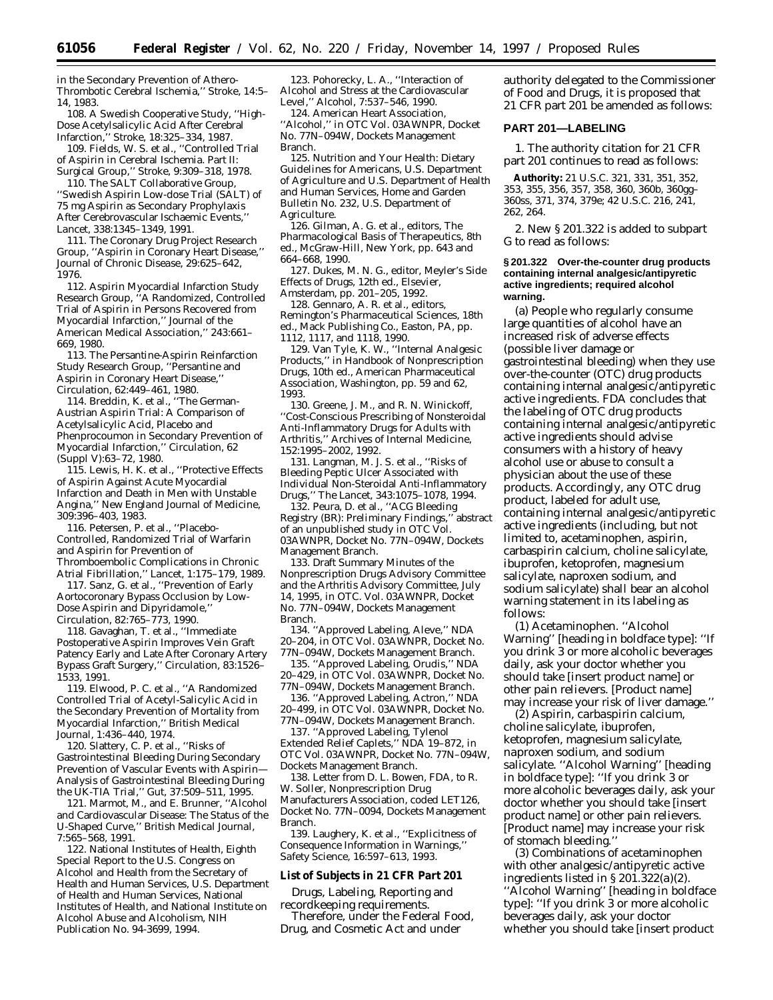in the Secondary Prevention of Athero-Thrombotic Cerebral Ischemia,'' *Stroke*, 14:5– 14, 1983.

108. A Swedish Cooperative Study, ''High-Dose Acetylsalicylic Acid After Cerebral Infarction,'' *Stroke*, 18:325–334, 1987.

109. Fields, W. S. et al., ''Controlled Trial of Aspirin in Cerebral Ischemia. Part II: Surgical Group,'' *Stroke*, 9:309–318, 1978.

110. The SALT Collaborative Group, ''Swedish Aspirin Low-dose Trial (SALT) of 75 mg Aspirin as Secondary Prophylaxis After Cerebrovascular Ischaemic Events,'' *Lancet*, 338:1345–1349, 1991.

111. The Coronary Drug Project Research Group, ''Aspirin in Coronary Heart Disease,'' *Journal of Chronic Disease*, 29:625–642, 1976.

112. Aspirin Myocardial Infarction Study Research Group, ''A Randomized, Controlled Trial of Aspirin in Persons Recovered from Myocardial Infarction,'' *Journal of the American Medical Association*,'' 243:661– 669, 1980.

113. The Persantine-Aspirin Reinfarction Study Research Group, ''Persantine and Aspirin in Coronary Heart Disease,'' *Circulation*, 62:449–461, 1980.

114. Breddin, K. et al., ''The German-Austrian Aspirin Trial: A Comparison of Acetylsalicylic Acid, Placebo and Phenprocoumon in Secondary Prevention of Myocardial Infarction,'' *Circulation*, 62 (Suppl V):63–72, 1980.

115. Lewis, H. K. et al., ''Protective Effects of Aspirin Against Acute Myocardial Infarction and Death in Men with Unstable Angina,'' *New England Journal of Medicine*, 309:396–403, 1983.

116. Petersen, P. et al., ''Placebo-Controlled, Randomized Trial of Warfarin and Aspirin for Prevention of Thromboembolic Complications in Chronic

Atrial Fibrillation,'' *Lancet*, 1:175–179, 1989. 117. Sanz, G. et al., ''Prevention of Early

Aortocoronary Bypass Occlusion by Low-Dose Aspirin and Dipyridamole,'' *Circulation*, 82:765–773, 1990.

118. Gavaghan, T. et al., ''Immediate Postoperative Aspirin Improves Vein Graft Patency Early and Late After Coronary Artery Bypass Graft Surgery,'' *Circulation*, 83:1526– 1533, 1991.

119. Elwood, P. C. et al., ''A Randomized Controlled Trial of Acetyl-Salicylic Acid in the Secondary Prevention of Mortality from Myocardial Infarction,'' *British Medical Journal*, 1:436–440, 1974.

120. Slattery, C. P. et al., ''Risks of Gastrointestinal Bleeding During Secondary Prevention of Vascular Events with Aspirin— Analysis of Gastrointestinal Bleeding During the UK-TIA Trial,'' *Gut*, 37:509–511, 1995.

121. Marmot, M., and E. Brunner, ''Alcohol and Cardiovascular Disease: The Status of the U-Shaped Curve,'' *British Medical Journal*, 7:565–568, 1991.

122. National Institutes of Health, Eighth Special Report to the U.S. Congress on Alcohol and Health from the Secretary of Health and Human Services, U.S. Department of Health and Human Services, National Institutes of Health, and National Institute on Alcohol Abuse and Alcoholism, NIH Publication No. 94-3699, 1994.

123. Pohorecky, L. A., ''Interaction of Alcohol and Stress at the Cardiovascular Level,'' *Alcohol*, 7:537–546, 1990.

124. American Heart Association, ''Alcohol,'' in OTC Vol. 03AWNPR, Docket No. 77N–094W, Dockets Management Branch.

125. Nutrition and Your Health: Dietary Guidelines for Americans, U.S. Department of Agriculture and U.S. Department of Health and Human Services, Home and Garden Bulletin No. 232, U.S. Department of Agriculture.

126. Gilman, A. G. et al., editors, *The Pharmacological Basis of Therapeutics*, 8th ed., McGraw-Hill, New York, pp. 643 and 664–668, 1990.

127. Dukes, M. N. G., editor, *Meyler's Side Effects of Drugs*, 12th ed., Elsevier, Amsterdam, pp. 201–205, 1992.

128. Gennaro, A. R. et al., editors, *Remington's Pharmaceutical Sciences*, 18th ed., Mack Publishing Co., Easton, PA, pp. 1112, 1117, and 1118, 1990.

129. Van Tyle, K. W., ''Internal Analgesic Products,'' in *Handbook of Nonprescription Drugs*, 10th ed., American Pharmaceutical Association, Washington, pp. 59 and 62, 1993.

130. Greene, J. M., and R. N. Winickoff, ''Cost-Conscious Prescribing of Nonsteroidal Anti-Inflammatory Drugs for Adults with Arthritis,'' *Archives of Internal Medicine*, 152:1995–2002, 1992.

131. Langman, M. J. S. et al., ''Risks of Bleeding Peptic Ulcer Associated with Individual Non-Steroidal Anti-Inflammatory Drugs,'' *The Lancet*, 343:1075–1078, 1994.

132. Peura, D. et al., ''ACG Bleeding Registry (BR): Preliminary Findings,'' abstract of an unpublished study in OTC Vol. 03AWNPR, Docket No. 77N–094W, Dockets Management Branch.

133. Draft Summary Minutes of the Nonprescription Drugs Advisory Committee and the Arthritis Advisory Committee, July 14, 1995, in OTC. Vol. 03AWNPR, Docket No. 77N–094W, Dockets Management Branch.

134. ''Approved Labeling, Aleve,'' NDA 20–204, in OTC Vol. 03AWNPR, Docket No. 77N–094W, Dockets Management Branch.

135. ''Approved Labeling, Orudis,'' NDA 20–429, in OTC Vol. 03AWNPR, Docket No. 77N–094W, Dockets Management Branch.

136. ''Approved Labeling, Actron,'' NDA 20–499, in OTC Vol. 03AWNPR, Docket No. 77N–094W, Dockets Management Branch.

137. ''Approved Labeling, Tylenol Extended Relief Caplets,'' NDA 19–872, in OTC Vol. 03AWNPR, Docket No. 77N–094W, Dockets Management Branch.

138. Letter from D. L. Bowen, FDA, to R. W. Soller, Nonprescription Drug Manufacturers Association, coded LET126, Docket No. 77N–0094, Dockets Management Branch.

139. Laughery, K. et al., ''Explicitness of Consequence Information in Warnings,'' *Safety Science*, 16:597–613, 1993.

### **List of Subjects in 21 CFR Part 201**

Drugs, Labeling, Reporting and recordkeeping requirements.

Therefore, under the Federal Food, Drug, and Cosmetic Act and under

authority delegated to the Commissioner of Food and Drugs, it is proposed that 21 CFR part 201 be amended as follows:

#### **PART 201—LABELING**

1. The authority citation for 21 CFR part 201 continues to read as follows:

**Authority:** 21 U.S.C. 321, 331, 351, 352, 353, 355, 356, 357, 358, 360, 360b, 360gg– 360ss, 371, 374, 379e; 42 U.S.C. 216, 241, 262, 264.

2. New § 201.322 is added to subpart G to read as follows:

### **§ 201.322 Over-the-counter drug products containing internal analgesic/antipyretic active ingredients; required alcohol warning.**

(a) People who regularly consume large quantities of alcohol have an increased risk of adverse effects (possible liver damage or gastrointestinal bleeding) when they use over-the-counter (OTC) drug products containing internal analgesic/antipyretic active ingredients. FDA concludes that the labeling of OTC drug products containing internal analgesic/antipyretic active ingredients should advise consumers with a history of heavy alcohol use or abuse to consult a physician about the use of these products. Accordingly, any OTC drug product, labeled for adult use, containing internal analgesic/antipyretic active ingredients (including, but not limited to, acetaminophen, aspirin, carbaspirin calcium, choline salicylate, ibuprofen, ketoprofen, magnesium salicylate, naproxen sodium, and sodium salicylate) shall bear an alcohol warning statement in its labeling as follows:

(1) *Acetaminophen*. ''Alcohol Warning'' [heading in boldface type]: ''If you drink 3 or more alcoholic beverages daily, ask your doctor whether you should take [insert product name] or other pain relievers. [Product name] may increase your risk of liver damage.''

(2) *Aspirin, carbaspirin calcium, choline salicylate, ibuprofen, ketoprofen, magnesium salicylate, naproxen sodium, and sodium salicylate*. ''Alcohol Warning'' [heading in boldface type]: ''If you drink 3 or more alcoholic beverages daily, ask your doctor whether you should take [insert product name] or other pain relievers. [Product name] may increase your risk of stomach bleeding.''

(3) *Combinations of acetaminophen with other analgesic/antipyretic active ingredients listed in § 201.322(a)(2)*. ''Alcohol Warning'' [heading in boldface type]: ''If you drink 3 or more alcoholic beverages daily, ask your doctor whether you should take [insert product